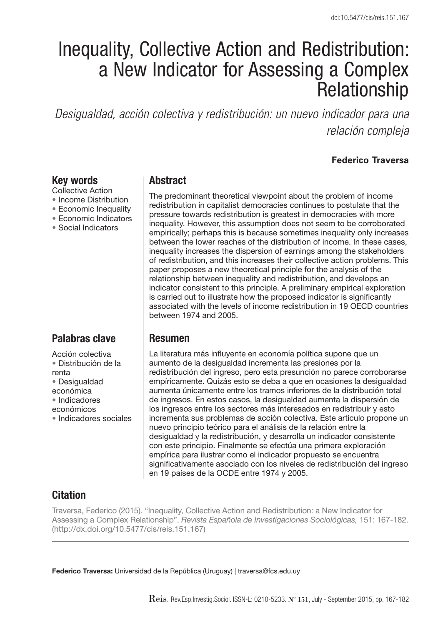# Inequality, Collective Action and Redistribution: a New Indicator for Assessing a Complex Relationship

*Desigualdad, acción colectiva y redistribución: un nuevo indicador para una relación compleja*

#### **Federico Traversa**

#### **Key words**

- Collective Action
- Income Distribution
- Economic Inequality
- Economic Indicators
- Social Indicators

# **Palabras clave**

Acción colectiva • Distribución de la renta • Desigualdad económica • Indicadores económicos • Indicadores sociales

## **Abstract**

The predominant theoretical viewpoint about the problem of income redistribution in capitalist democracies continues to postulate that the pressure towards redistribution is greatest in democracies with more inequality. However, this assumption does not seem to be corroborated empirically; perhaps this is because sometimes inequality only increases between the lower reaches of the distribution of income. In these cases, inequality increases the dispersion of earnings among the stakeholders of redistribution, and this increases their collective action problems. This paper proposes a new theoretical principle for the analysis of the relationship between inequality and redistribution, and develops an indicator consistent to this principle. A preliminary empirical exploration is carried out to illustrate how the proposed indicator is significantly associated with the levels of income redistribution in 19 OECD countries between 1974 and 2005.

## **Resumen**

La literatura más influyente en economía política supone que un aumento de la desigualdad incrementa las presiones por la redistribución del ingreso, pero esta presunción no parece corroborarse empíricamente. Quizás esto se deba a que en ocasiones la desigualdad aumenta únicamente entre los tramos inferiores de la distribución total de ingresos. En estos casos, la desigualdad aumenta la dispersión de los ingresos entre los sectores más interesados en redistribuir y esto incrementa sus problemas de acción colectiva. Este artículo propone un nuevo principio teórico para el análisis de la relación entre la desigualdad y la redistribución, y desarrolla un indicador consistente con este principio. Finalmente se efectúa una primera exploración empírica para ilustrar como el indicador propuesto se encuentra significativamente asociado con los niveles de redistribución del ingreso en 19 países de la OCDE entre 1974 y 2005.

# **Citation**

Traversa, Federico (2015). "Inequality, Collective Action and Redistribution: a New Indicator for Assessing a Complex Relationship". Revista Española de Investigaciones Sociológicas, 151: 167-182. (http://dx.doi.org/10.5477/cis/reis.151.167)

**Federico Traversa:** Universidad de la República (Uruguay) | traversa@fcs.edu.uy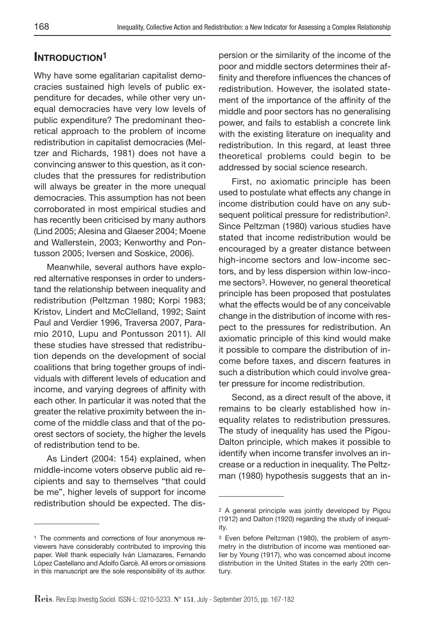# **INTRODUCTION1**

Why have some egalitarian capitalist democracies sustained high levels of public expenditure for decades, while other very unequal democracies have very low levels of public expenditure? The predominant theoretical approach to the problem of income redistribution in capitalist democracies (Meltzer and Richards, 1981) does not have a convincing answer to this question, as it concludes that the pressures for redistribution will always be greater in the more unequal democracies. This assumption has not been corroborated in most empirical studies and has recently been criticised by many authors (Lind 2005; Alesina and Glaeser 2004; Moene and Wallerstein, 2003; Kenworthy and Pontusson 2005; Iversen and Soskice, 2006).

Meanwhile, several authors have explored alternative responses in order to understand the relationship between inequality and redistribution (Peltzman 1980; Korpi 1983; Kristov, Lindert and McClelland, 1992; Saint Paul and Verdier 1996, Traversa 2007, Paramio 2010, Lupu and Pontusson 2011). All these studies have stressed that redistribution depends on the development of social coalitions that bring together groups of individuals with different levels of education and income, and varying degrees of affinity with each other. In particular it was noted that the greater the relative proximity between the income of the middle class and that of the poorest sectors of society, the higher the levels of redistribution tend to be.

As Lindert (2004: 154) explained, when middle-income voters observe public aid recipients and say to themselves "that could be me", higher levels of support for income redistribution should be expected. The dispersion or the similarity of the income of the poor and middle sectors determines their affinity and therefore influences the chances of redistribution. However, the isolated statement of the importance of the affinity of the middle and poor sectors has no generalising power, and fails to establish a concrete link with the existing literature on inequality and redistribution. In this regard, at least three theoretical problems could begin to be addressed by social science research.

First, no axiomatic principle has been used to postulate what effects any change in income distribution could have on any subsequent political pressure for redistribution2. Since Peltzman (1980) various studies have stated that income redistribution would be encouraged by a greater distance between high-income sectors and low-income sectors, and by less dispersion within low-income sectors3. However, no general theoretical principle has been proposed that postulates what the effects would be of any conceivable change in the distribution of income with respect to the pressures for redistribution. An axiomatic principle of this kind would make it possible to compare the distribution of income before taxes, and discern features in such a distribution which could involve greater pressure for income redistribution.

Second, as a direct result of the above, it remains to be clearly established how inequality relates to redistribution pressures. The study of inequality has used the Pigou-Dalton principle, which makes it possible to identify when income transfer involves an increase or a reduction in inequality. The Peltzman (1980) hypothesis suggests that an in-

<sup>1</sup> The comments and corrections of four anonymous reviewers have considerably contributed to improving this paper. Well thank especially Iván Llamazares, Fernando López Castellano and Adolfo Garcè. All errors or omissions in this manuscript are the sole responsibility of its author.

<sup>2</sup> A general principle was jointly developed by Pigou (1912) and Dalton (1920) regarding the study of inequality.

<sup>3</sup> Even before Peltzman (1980), the problem of asymmetry in the distribution of income was mentioned earlier by Young (1917), who was concerned about income distribution in the United States in the early 20th century.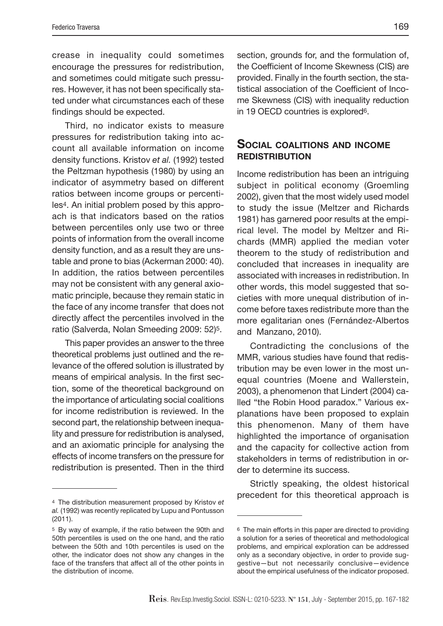crease in inequality could sometimes encourage the pressures for redistribution, and sometimes could mitigate such pressures. However, it has not been specifically stated under what circumstances each of these findings should be expected.

Third, no indicator exists to measure pressures for redistribution taking into account all available information on income density functions. Kristov et al. (1992) tested the Peltzman hypothesis (1980) by using an indicator of asymmetry based on different ratios between income groups or percentiles4. An initial problem posed by this approach is that indicators based on the ratios between percentiles only use two or three points of information from the overall income density function, and as a result they are unstable and prone to bias (Ackerman 2000: 40). In addition, the ratios between percentiles may not be consistent with any general axiomatic principle, because they remain static in the face of any income transfer that does not directly affect the percentiles involved in the ratio (Salverda, Nolan Smeeding 2009: 52)5.

This paper provides an answer to the three theoretical problems just outlined and the relevance of the offered solution is illustrated by means of empirical analysis. In the first section, some of the theoretical background on the importance of articulating social coalitions for income redistribution is reviewed. In the second part, the relationship between inequality and pressure for redistribution is analysed, and an axiomatic principle for analysing the effects of income transfers on the pressure for redistribution is presented. Then in the third

section, grounds for, and the formulation of, the Coefficient of Income Skewness (CIS) are provided. Finally in the fourth section, the statistical association of the Coefficient of Income Skewness (CIS) with inequality reduction in 19 OECD countries is explored6.

#### **SOCIAL COALITIONS AND INCOME REDISTRIBUTION**

Income redistribution has been an intriguing subject in political economy (Groemling 2002), given that the most widely used model to study the issue (Meltzer and Richards 1981) has garnered poor results at the empirical level. The model by Meltzer and Richards (MMR) applied the median voter theorem to the study of redistribution and concluded that increases in inequality are associated with increases in redistribution. In other words, this model suggested that societies with more unequal distribution of income before taxes redistribute more than the more egalitarian ones (Fernández-Albertos and Manzano, 2010).

Contradicting the conclusions of the MMR, various studies have found that redistribution may be even lower in the most unequal countries (Moene and Wallerstein, 2003), a phenomenon that Lindert (2004) called "the Robin Hood paradox." Various explanations have been proposed to explain this phenomenon. Many of them have highlighted the importance of organisation and the capacity for collective action from stakeholders in terms of redistribution in order to determine its success.

Strictly speaking, the oldest historical precedent for this theoretical approach is

<sup>4</sup> The distribution measurement proposed by Kristov et al. (1992) was recently replicated by Lupu and Pontusson (2011).

<sup>5</sup> By way of example, if the ratio between the 90th and 50th percentiles is used on the one hand, and the ratio between the 50th and 10th percentiles is used on the other, the indicator does not show any changes in the face of the transfers that affect all of the other points in the distribution of income.

<sup>6</sup> The main efforts in this paper are directed to providing a solution for a series of theoretical and methodological problems, and empirical exploration can be addressed only as a secondary objective, in order to provide suggestive—but not necessarily conclusive—evidence about the empirical usefulness of the indicator proposed.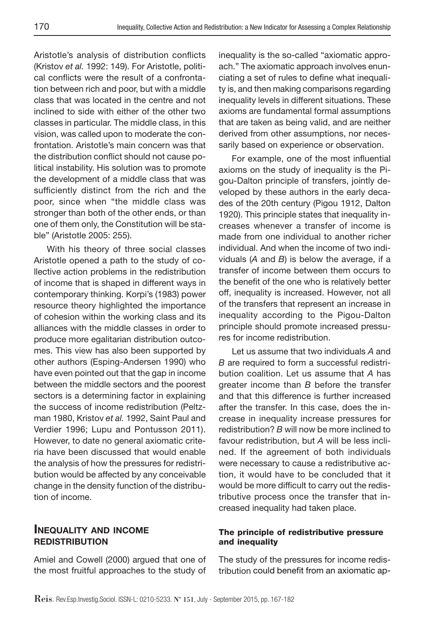Aristotle's analysis of distribution conflicts (Kristov et al. 1992: 149). For Aristotle, political conflicts were the result of a confrontation between rich and poor, but with a middle class that was located in the centre and not inclined to side with either of the other two classes in particular. The middle class, in this vision, was called upon to moderate the confrontation. Aristotle's main concern was that the distribution conflict should not cause political instability. His solution was to promote the development of a middle class that was sufficiently distinct from the rich and the poor, since when "the middle class was stronger than both of the other ends, or than one of them only, the Constitution will be stable" (Aristotle 2005: 255).

With his theory of three social classes Aristotle opened a path to the study of collective action problems in the redistribution of income that is shaped in different ways in contemporary thinking. Korpi's (1983) power resource theory highlighted the importance of cohesion within the working class and its alliances with the middle classes in order to produce more egalitarian distribution outcomes. This view has also been supported by other authors (Esping-Andersen 1990) who have even pointed out that the gap in income between the middle sectors and the poorest sectors is a determining factor in explaining the success of income redistribution (Peltzman 1980, Kristov et al. 1992, Saint Paul and Verdier 1996; Lupu and Pontusson 2011). However, to date no general axiomatic criteria have been discussed that would enable the analysis of how the pressures for redistribution would be affected by any conceivable change in the density function of the distribution of income.

#### **INEQUALITY AND INCOME REDISTRIBUTION**

Amiel and Cowell (2000) argued that one of the most fruitful approaches to the study of inequality is the so-called "axiomatic approach." The axiomatic approach involves enunciating a set of rules to define what inequality is, and then making comparisons regarding inequality levels in different situations. These axioms are fundamental formal assumptions that are taken as being valid, and are neither derived from other assumptions, nor necessarily based on experience or observation.

For example, one of the most influential axioms on the study of inequality is the Pigou-Dalton principle of transfers, jointly developed by these authors in the early decades of the 20th century (Pigou 1912, Dalton 1920). This principle states that inequality increases whenever a transfer of income is made from one individual to another richer individual. And when the income of two individuals  $(A \text{ and } B)$  is below the average, if a transfer of income between them occurs to the benefit of the one who is relatively better off, inequality is increased. However, not all of the transfers that represent an increase in inequality according to the Pigou-Dalton principle should promote increased pressures for income redistribution.

Let us assume that two individuals A and B are required to form a successful redistribution coalition. Let us assume that A has greater income than B before the transfer and that this difference is further increased after the transfer. In this case, does the increase in inequality increase pressures for redistribution? B will now be more inclined to favour redistribution, but A will be less inclined. If the agreement of both individuals were necessary to cause a redistributive action, it would have to be concluded that it would be more difficult to carry out the redistributive process once the transfer that increased inequality had taken place.

#### **The principle of redistributive pressure and inequality**

The study of the pressures for income redistribution could benefit from an axiomatic ap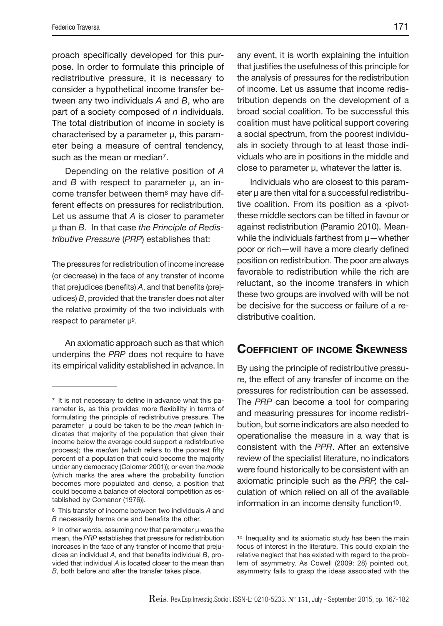proach specifically developed for this purpose. In order to formulate this principle of redistributive pressure, it is necessary to consider a hypothetical income transfer between any two individuals A and B, who are part of a society composed of  $n$  individuals. The total distribution of income in society is characterised by a parameter μ, this parameter being a measure of central tendency, such as the mean or median<sup>7</sup>.

Depending on the relative position of A and  $B$  with respect to parameter  $\mu$ , an income transfer between them8 may have different effects on pressures for redistribution. Let us assume that A is closer to parameter μ than B. In that case the Principle of Redistributive Pressure (PRP) establishes that:

The pressures for redistribution of income increase (or decrease) in the face of any transfer of income that prejudices (benefits) A, and that benefits (prejudices) B, provided that the transfer does not alter the relative proximity of the two individuals with respect to parameter μ9.

An axiomatic approach such as that which underpins the PRP does not require to have its empirical validity established in advance. In

any event, it is worth explaining the intuition that justifies the usefulness of this principle for the analysis of pressures for the redistribution of income. Let us assume that income redistribution depends on the development of a broad social coalition. To be successful this coalition must have political support covering a social spectrum, from the poorest individuals in society through to at least those individuals who are in positions in the middle and close to parameter μ, whatever the latter is.

Individuals who are closest to this parameter μ are then vital for a successful redistributive coalition. From its position as a ‹pivot› these middle sectors can be tilted in favour or against redistribution (Paramio 2010). Meanwhile the individuals farthest from μ—whether poor or rich—will have a more clearly defined position on redistribution. The poor are always favorable to redistribution while the rich are reluctant, so the income transfers in which these two groups are involved with will be not be decisive for the success or failure of a redistributive coalition.

## **COEFFICIENT OF INCOME SKEWNESS**

By using the principle of redistributive pressure, the effect of any transfer of income on the pressures for redistribution can be assessed. The PRP can become a tool for comparing and measuring pressures for income redistribution, but some indicators are also needed to operationalise the measure in a way that is consistent with the PPR. After an extensive review of the specialist literature, no indicators were found historically to be consistent with an axiomatic principle such as the PRP, the calculation of which relied on all of the available information in an income density function10.

 $7$  It is not necessary to define in advance what this parameter is, as this provides more flexibility in terms of formulating the principle of redistributive pressure. The parameter  $\mu$  could be taken to be the *mean* (which indicates that majority of the population that given their income below the average could support a redistributive process); the median (which refers to the poorest fifty percent of a population that could become the majority under any democracy (Colomer 2001)); or even the mode (which marks the area where the probability function becomes more populated and dense, a position that could become a balance of electoral competition as established by Comanor (1976)).

<sup>8</sup> This transfer of income between two individuals A and B necessarily harms one and benefits the other.

<sup>9</sup> In other words, assuming now that parameter μ was the mean, the PRP establishes that pressure for redistribution increases in the face of any transfer of income that prejudices an individual  $A$ , and that benefits individual  $B$ , provided that individual A is located closer to the mean than B, both before and after the transfer takes place.

<sup>10</sup> Inequality and its axiomatic study has been the main focus of interest in the literature. This could explain the relative neglect that has existed with regard to the problem of asymmetry. As Cowell (2009: 28) pointed out, asymmetry fails to grasp the ideas associated with the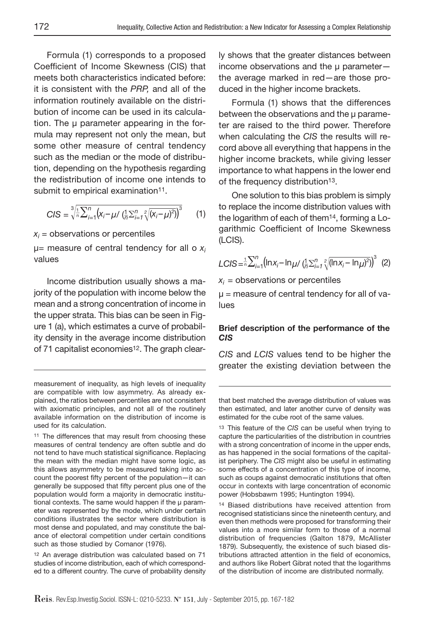Formula (1) corresponds to a proposed Coefficient of Income Skewness (CIS) that meets both characteristics indicated before: it is consistent with the PRP, and all of the information routinely available on the distribution of income can be used in its calculation. The μ parameter appearing in the formula may represent not only the mean, but some other measure of central tendency such as the median or the mode of distribution, depending on the hypothesis regarding the redistribution of income one intends to submit to empirical examination<sup>11</sup>.

$$
CIS = \sqrt[3]{\frac{1}{n} \sum_{i=1}^{n} (x_i - \mu / (\frac{1}{n} \sum_{i=1}^{n} \sqrt{(x_i - \mu)^2}))^3}
$$
 (1)

 $x_i$  = observations or percentiles

 $\mu$ = measure of central tendency for all o  $x_i$ values

Income distribution usually shows a majority of the population with income below the mean and a strong concentration of income in the upper strata. This bias can be seen in Figure 1 (a), which estimates a curve of probability density in the average income distribution of 71 capitalist economies<sup>12</sup>. The graph clear-

12 An average distribution was calculated based on 71 studies of income distribution, each of which corresponded to a different country. The curve of probability density ly shows that the greater distances between income observations and the μ parameter the average marked in red—are those produced in the higher income brackets.

Formula (1) shows that the differences between the observations and the μ parameter are raised to the third power. Therefore when calculating the CIS the results will record above all everything that happens in the higher income brackets, while giving lesser importance to what happens in the lower end of the frequency distribution<sup>13</sup>.

One solution to this bias problem is simply to replace the income distribution values with the logarithm of each of them14, forming a Logarithmic Coefficient of Income Skewness (LCIS).

$$
LCIS = \frac{1}{n} \sum_{i=1}^{n} (\ln x_i - \ln \mu / (\frac{1}{n} \sum_{i=1}^{n} \sqrt{(n x_i - \ln \mu)^2})^3
$$
 (2)

 $x_i$  = observations or percentiles

 $\mu$  = measure of central tendency for all of values

#### **Brief description of the performance of the**  *CIS*

CIS and LCIS values tend to be higher the greater the existing deviation between the

that best matched the average distribution of values was then estimated, and later another curve of density was estimated for the cube root of the same values.

13 This feature of the CIS can be useful when trying to capture the particularities of the distribution in countries with a strong concentration of income in the upper ends, as has happened in the social formations of the capitalist periphery. The CIS might also be useful in estimating some effects of a concentration of this type of income, such as coups against democratic institutions that often occur in contexts with large concentration of economic power (Hobsbawm 1995; Huntington 1994).

14 Biased distributions have received attention from recognised statisticians since the nineteenth century, and even then methods were proposed for transforming their values into a more similar form to those of a normal distribution of frequencies (Galton 1879, McAllister 1879). Subsequently, the existence of such biased distributions attracted attention in the field of economics, and authors like Robert Gibrat noted that the logarithms of the distribution of income are distributed normally.

measurement of inequality, as high levels of inequality are compatible with low asymmetry. As already explained, the ratios between percentiles are not consistent with axiomatic principles, and not all of the routinely available information on the distribution of income is used for its calculation.

<sup>&</sup>lt;sup>11</sup> The differences that may result from choosing these measures of central tendency are often subtle and do not tend to have much statistical significance. Replacing the mean with the median might have some logic, as this allows asymmetry to be measured taking into account the poorest fifty percent of the population-it can generally be supposed that fifty percent plus one of the population would form a majority in democratic institutional contexts. The same would happen if the μ parameter was represented by the mode, which under certain conditions illustrates the sector where distribution is most dense and populated, and may constitute the balance of electoral competition under certain conditions such as those studied by Comanor (1976).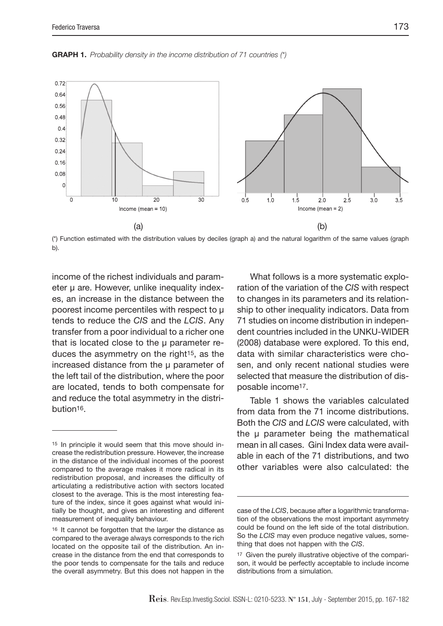**GRAPH 1.** Probability density in the income distribution of 71 countries (\*)



(\*) Function estimated with the distribution values by deciles (graph a) and the natural logarithm of the same values (graph b).

income of the richest individuals and parameter μ are. However, unlike inequality indexes, an increase in the distance between the poorest income percentiles with respect to μ tends to reduce the CIS and the LCIS. Any transfer from a poor individual to a richer one that is located close to the μ parameter reduces the asymmetry on the right<sup>15</sup>, as the increased distance from the μ parameter of the left tail of the distribution, where the poor are located, tends to both compensate for and reduce the total asymmetry in the distribution16.

What follows is a more systematic exploration of the variation of the CIS with respect to changes in its parameters and its relationship to other inequality indicators. Data from 71 studies on income distribution in independent countries included in the UNKU-WIDER (2008) database were explored. To this end, data with similar characteristics were chosen, and only recent national studies were selected that measure the distribution of disposable income17.

Table 1 shows the variables calculated from data from the 71 income distributions. Both the CIS and LCIS were calculated, with the μ parameter being the mathematical mean in all cases. Gini Index data were available in each of the 71 distributions, and two other variables were also calculated: the

<sup>15</sup> In principle it would seem that this move should increase the redistribution pressure. However, the increase in the distance of the individual incomes of the poorest compared to the average makes it more radical in its redistribution proposal, and increases the difficulty of articulating a redistributive action with sectors located closest to the average. This is the most interesting feature of the index, since it goes against what would initially be thought, and gives an interesting and different measurement of inequality behaviour.

<sup>16</sup> It cannot be forgotten that the larger the distance as compared to the average always corresponds to the rich located on the opposite tail of the distribution. An increase in the distance from the end that corresponds to the poor tends to compensate for the tails and reduce the overall asymmetry. But this does not happen in the

case of the LCIS, because after a logarithmic transformation of the observations the most important asymmetry could be found on the left side of the total distribution. So the LCIS may even produce negative values, something that does not happen with the CIS.

<sup>17</sup> Given the purely illustrative objective of the comparison, it would be perfectly acceptable to include income distributions from a simulation.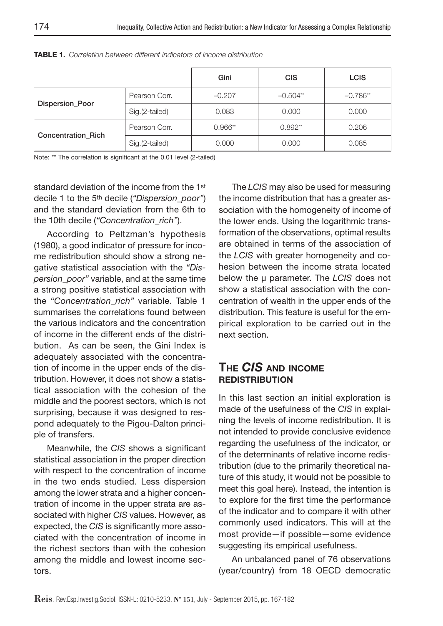|                           |                | Gini      | <b>CIS</b> | <b>LCIS</b> |
|---------------------------|----------------|-----------|------------|-------------|
| <b>Dispersion Poor</b>    | Pearson Corr.  | $-0.207$  | $-0.504**$ | $-0.786$ ** |
|                           | Sig.(2-tailed) | 0.083     | 0.000      | 0.000       |
|                           | Pearson Corr.  | $0.966**$ | $0.892**$  | 0.206       |
| <b>Concentration Rich</b> | Sig.(2-tailed) | 0.000     | 0.000      | 0.085       |

**TABLE 1.** Correlation between different indicators of income distribution

Note: \*\* The correlation is significant at the 0.01 level (2-tailed)

standard deviation of the income from the 1st decile 1 to the 5th decile ("Dispersion\_poor") and the standard deviation from the 6th to the 10th decile ("Concentration\_rich").

According to Peltzman's hypothesis (1980), a good indicator of pressure for income redistribution should show a strong negative statistical association with the "Dispersion\_poor" variable, and at the same time a strong positive statistical association with the "Concentration rich" variable. Table 1 summarises the correlations found between the various indicators and the concentration of income in the different ends of the distribution. As can be seen, the Gini Index is adequately associated with the concentration of income in the upper ends of the distribution. However, it does not show a statistical association with the cohesion of the middle and the poorest sectors, which is not surprising, because it was designed to respond adequately to the Pigou-Dalton principle of transfers.

Meanwhile, the CIS shows a significant statistical association in the proper direction with respect to the concentration of income in the two ends studied. Less dispersion among the lower strata and a higher concentration of income in the upper strata are associated with higher CIS values. However, as expected, the CIS is significantly more associated with the concentration of income in the richest sectors than with the cohesion among the middle and lowest income sectors.

The LCIS may also be used for measuring the income distribution that has a greater association with the homogeneity of income of the lower ends. Using the logarithmic transformation of the observations, optimal results are obtained in terms of the association of the LCIS with greater homogeneity and cohesion between the income strata located below the μ parameter. The LCIS does not show a statistical association with the concentration of wealth in the upper ends of the distribution. This feature is useful for the empirical exploration to be carried out in the next section.

#### **THE** *CIS* **AND INCOME REDISTRIBUTION**

In this last section an initial exploration is made of the usefulness of the CIS in explaining the levels of income redistribution. It is not intended to provide conclusive evidence regarding the usefulness of the indicator, or of the determinants of relative income redistribution (due to the primarily theoretical nature of this study, it would not be possible to meet this goal here). Instead, the intention is to explore for the first time the performance of the indicator and to compare it with other commonly used indicators. This will at the most provide—if possible—some evidence suggesting its empirical usefulness.

An unbalanced panel of 76 observations (year/country) from 18 OECD democratic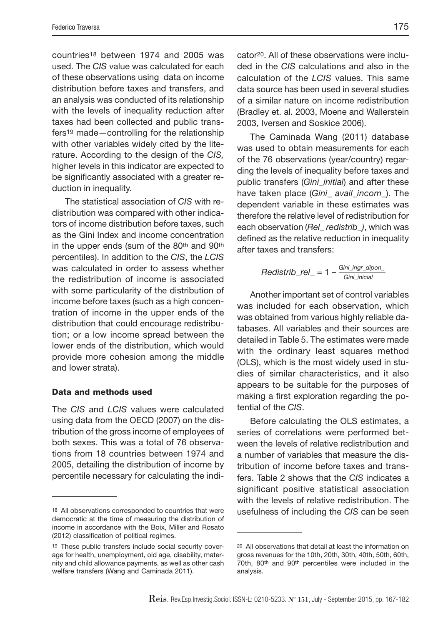countries18 between 1974 and 2005 was used. The CIS value was calculated for each of these observations using data on income distribution before taxes and transfers, and an analysis was conducted of its relationship with the levels of inequality reduction after taxes had been collected and public transfers19 made—controlling for the relationship with other variables widely cited by the literature. According to the design of the CIS, higher levels in this indicator are expected to be significantly associated with a greater reduction in inequality.

The statistical association of CIS with redistribution was compared with other indicators of income distribution before taxes, such as the Gini Index and income concentration in the upper ends (sum of the 80<sup>th</sup> and 90<sup>th</sup> percentiles). In addition to the CIS, the LCIS was calculated in order to assess whether the redistribution of income is associated with some particularity of the distribution of income before taxes (such as a high concentration of income in the upper ends of the distribution that could encourage redistribution; or a low income spread between the lower ends of the distribution, which would provide more cohesion among the middle and lower strata).

#### **Data and methods used**

The CIS and LCIS values were calculated using data from the OECD (2007) on the distribution of the gross income of employees of both sexes. This was a total of 76 observations from 18 countries between 1974 and 2005, detailing the distribution of income by percentile necessary for calculating the indicator20. All of these observations were included in the CIS calculations and also in the calculation of the LCIS values. This same data source has been used in several studies of a similar nature on income redistribution (Bradley et. al. 2003, Moene and Wallerstein 2003, Iversen and Soskice 2006).

The Caminada Wang (2011) database was used to obtain measurements for each of the 76 observations (year/country) regarding the levels of inequality before taxes and public transfers (Gini\_initial) and after these have taken place (Gini\_ avail\_incom\_). The dependent variable in these estimates was therefore the relative level of redistribution for each observation (Rel\_ redistrib\_), which was defined as the relative reduction in inequality after taxes and transfers:

$$
Redistrib\_rel\_ = 1 - \frac{Gini\_ingr\_dipon\_}{Gini\_inicial}
$$

Another important set of control variables was included for each observation, which was obtained from various highly reliable databases. All variables and their sources are detailed in Table 5. The estimates were made with the ordinary least squares method (OLS), which is the most widely used in studies of similar characteristics, and it also appears to be suitable for the purposes of making a first exploration regarding the potential of the CIS.

Before calculating the OLS estimates, a series of correlations were performed between the levels of relative redistribution and a number of variables that measure the distribution of income before taxes and transfers. Table 2 shows that the CIS indicates a significant positive statistical association with the levels of relative redistribution. The usefulness of including the CIS can be seen

<sup>18</sup> All observations corresponded to countries that were democratic at the time of measuring the distribution of income in accordance with the Boix, Miller and Rosato (2012) classification of political regimes.

<sup>19</sup> These public transfers include social security coverage for health, unemployment, old age, disability, maternity and child allowance payments, as well as other cash welfare transfers (Wang and Caminada 2011).

<sup>20</sup> All observations that detail at least the information on gross revenues for the 10th, 20th, 30th, 40th, 50th, 60th, 70th, 80th and 90th percentiles were included in the analysis.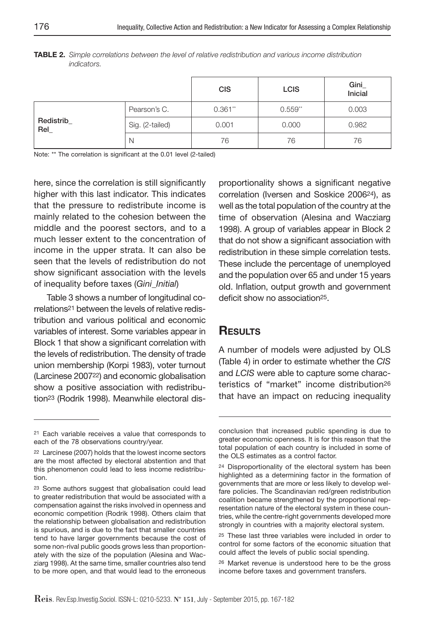|                   |                 | <b>CIS</b> | <b>LCIS</b> | Gini<br>Inicial |
|-------------------|-----------------|------------|-------------|-----------------|
|                   | Pearson's C.    | $0.361**$  | $0.559**$   | 0.003           |
| Redistrib_<br>Rel | Sig. (2-tailed) | 0.001      | 0.000       | 0.982           |
|                   | N               | 76         | 76          | 76              |

**TABLE 2.** Simple correlations between the level of relative redistribution and various income distribution indicators.

Note: \*\* The correlation is significant at the 0.01 level (2-tailed)

here, since the correlation is still significantly higher with this last indicator. This indicates that the pressure to redistribute income is mainly related to the cohesion between the middle and the poorest sectors, and to a much lesser extent to the concentration of income in the upper strata. It can also be seen that the levels of redistribution do not show significant association with the levels of inequality before taxes (Gini\_Initial)

Table 3 shows a number of longitudinal correlations21 between the levels of relative redistribution and various political and economic variables of interest. Some variables appear in Block 1 that show a significant correlation with the levels of redistribution. The density of trade union membership (Korpi 1983), voter turnout (Larcinese 200722) and economic globalisation show a positive association with redistribution23 (Rodrik 1998). Meanwhile electoral disproportionality shows a significant negative correlation (Iversen and Soskice 200624), as well as the total population of the country at the time of observation (Alesina and Wacziarg 1998). A group of variables appear in Block 2 that do not show a significant association with redistribution in these simple correlation tests. These include the percentage of unemployed and the population over 65 and under 15 years old. Inflation, output growth and government deficit show no association<sup>25</sup>.

#### **RESULTS**

A number of models were adjusted by OLS (Table 4) in order to estimate whether the CIS and LCIS were able to capture some characteristics of "market" income distribution26 that have an impact on reducing inequality

<sup>21</sup> Each variable receives a value that corresponds to each of the 78 observations country/year.

<sup>22</sup> Larcinese (2007) holds that the lowest income sectors are the most affected by electoral abstention and that this phenomenon could lead to less income redistribution.

<sup>23</sup> Some authors suggest that globalisation could lead to greater redistribution that would be associated with a compensation against the risks involved in openness and economic competition (Rodrik 1998). Others claim that the relationship between globalisation and redistribution is spurious, and is due to the fact that smaller countries tend to have larger governments because the cost of some non-rival public goods grows less than proportionately with the size of the population (Alesina and Wacziarg 1998). At the same time, smaller countries also tend to be more open, and that would lead to the erroneous

conclusion that increased public spending is due to greater economic openness. It is for this reason that the total population of each country is included in some of the OLS estimates as a control factor.

<sup>24</sup> Disproportionality of the electoral system has been highlighted as a determining factor in the formation of governments that are more or less likely to develop welfare policies. The Scandinavian red/green redistribution coalition became strengthened by the proportional representation nature of the electoral system in these countries, while the centre-right governments developed more strongly in countries with a majority electoral system.

<sup>25</sup> These last three variables were included in order to control for some factors of the economic situation that could affect the levels of public social spending.

<sup>26</sup> Market revenue is understood here to be the gross income before taxes and government transfers.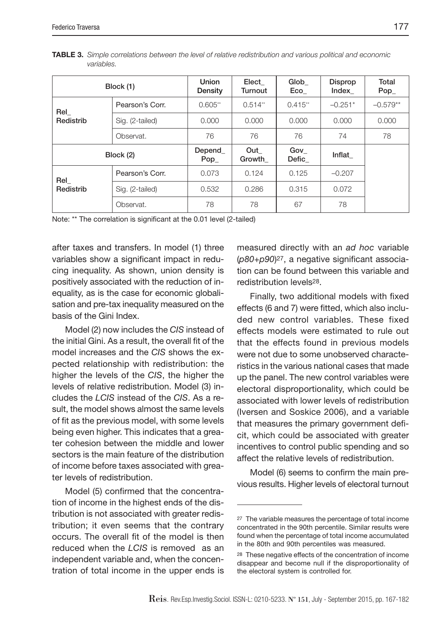|           | Block (1)       | <b>Union</b><br>Density | Elect<br><b>Turnout</b> | Glob<br>Eco  | <b>Disprop</b><br>Index | Total<br>$Pop_$ |
|-----------|-----------------|-------------------------|-------------------------|--------------|-------------------------|-----------------|
| Rel       | Pearson's Corr. | $0.605**$               | $0.514**$               | $0.415**$    | $-0.251*$               | $-0.579**$      |
| Redistrib | Sig. (2-tailed) | 0.000                   | 0.000                   | 0.000        | 0.000                   | 0.000           |
|           | Observat.       | 76                      | 76                      | 76           | 74                      | 78              |
| Block (2) |                 | Depend<br>$Pop_$        | Out<br>Growth           | Gov<br>Defic | Inflat                  |                 |
| Rel       | Pearson's Corr. | 0.073                   | 0.124                   | 0.125        | $-0.207$                |                 |
| Redistrib | Sig. (2-tailed) | 0.532                   | 0.286                   | 0.315        | 0.072                   |                 |
|           | Observat.       | 78                      | 78                      | 67           | 78                      |                 |

**TABLE 3.** Simple correlations between the level of relative redistribution and various political and economic variables.

Note: \*\* The correlation is significant at the 0.01 level (2-tailed)

after taxes and transfers. In model (1) three variables show a significant impact in reducing inequality. As shown, union density is positively associated with the reduction of inequality, as is the case for economic globalisation and pre-tax inequality measured on the basis of the Gini Index.

Model (2) now includes the CIS instead of the initial Gini. As a result, the overall fit of the model increases and the CIS shows the expected relationship with redistribution: the higher the levels of the CIS, the higher the levels of relative redistribution. Model (3) includes the LCIS instead of the CIS. As a result, the model shows almost the same levels of fit as the previous model, with some levels being even higher. This indicates that a greater cohesion between the middle and lower sectors is the main feature of the distribution of income before taxes associated with greater levels of redistribution.

Model (5) confirmed that the concentration of income in the highest ends of the distribution is not associated with greater redistribution; it even seems that the contrary occurs. The overall fit of the model is then reduced when the LCIS is removed as an independent variable and, when the concentration of total income in the upper ends is

measured directly with an ad hoc variable  $(p80+p90)^{27}$ , a negative significant association can be found between this variable and redistribution levels28.

Finally, two additional models with fixed effects (6 and 7) were fitted, which also included new control variables. These fixed effects models were estimated to rule out that the effects found in previous models were not due to some unobserved characteristics in the various national cases that made up the panel. The new control variables were electoral disproportionality, which could be associated with lower levels of redistribution (Iversen and Soskice 2006), and a variable that measures the primary government deficit, which could be associated with greater incentives to control public spending and so affect the relative levels of redistribution.

Model (6) seems to confirm the main previous results. Higher levels of electoral turnout

<sup>27</sup> The variable measures the percentage of total income concentrated in the 90th percentile. Similar results were found when the percentage of total income accumulated in the 80th and 90th percentiles was measured.

<sup>28</sup> These negative effects of the concentration of income disappear and become null if the disproportionality of the electoral system is controlled for.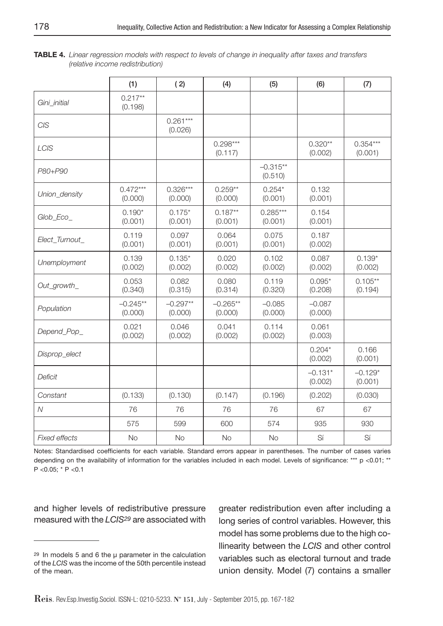| <b>TABLE 4.</b> Linear regression models with respect to levels of change in inequality after taxes and transfers |  |  |  |  |
|-------------------------------------------------------------------------------------------------------------------|--|--|--|--|
| (relative income redistribution)                                                                                  |  |  |  |  |

|                      | (1)                   | (2)                   | (4)                   | (5)                   | (6)                  | (7)                   |
|----------------------|-----------------------|-----------------------|-----------------------|-----------------------|----------------------|-----------------------|
| Gini_initial         | $0.217**$<br>(0.198)  |                       |                       |                       |                      |                       |
| <b>CIS</b>           |                       | $0.261***$<br>(0.026) |                       |                       |                      |                       |
| <b>LCIS</b>          |                       |                       | $0.298***$<br>(0.117) |                       | $0.320**$<br>(0.002) | $0.354***$<br>(0.001) |
| P80+P90              |                       |                       |                       | $-0.315**$<br>(0.510) |                      |                       |
| Union_density        | $0.472***$<br>(0.000) | $0.326***$<br>(0.000) | $0.259**$<br>(0.000)  | $0.254*$<br>(0.001)   | 0.132<br>(0.001)     |                       |
| Glob_Eco_            | $0.190*$<br>(0.001)   | $0.175*$<br>(0.001)   | $0.187**$<br>(0.001)  | $0.285***$<br>(0.001) | 0.154<br>(0.001)     |                       |
| Elect_Turnout_       | 0.119<br>(0.001)      | 0.097<br>(0.001)      | 0.064<br>(0.001)      | 0.075<br>(0.001)      | 0.187<br>(0.002)     |                       |
| Unemployment         | 0.139<br>(0.002)      | $0.135*$<br>(0.002)   | 0.020<br>(0.002)      | 0.102<br>(0.002)      | 0.087<br>(0.002)     | $0.139*$<br>(0.002)   |
| Out_growth_          | 0.053<br>(0.340)      | 0.082<br>(0.315)      | 0.080<br>(0.314)      | 0.119<br>(0.320)      | $0.095*$<br>(0.208)  | $0.105**$<br>(0.194)  |
| Population           | $-0.245**$<br>(0.000) | $-0.297**$<br>(0.000) | $-0.265**$<br>(0.000) | $-0.085$<br>(0.000)   | $-0.087$<br>(0.000)  |                       |
| Depend_Pop_          | 0.021<br>(0.002)      | 0.046<br>(0.002)      | 0.041<br>(0.002)      | 0.114<br>(0.002)      | 0.061<br>(0.003)     |                       |
| Disprop_elect        |                       |                       |                       |                       | $0.204*$<br>(0.002)  | 0.166<br>(0.001)      |
| Deficit              |                       |                       |                       |                       | $-0.131*$<br>(0.002) | $-0.129*$<br>(0.001)  |
| Constant             | (0.133)               | (0.130)               | (0.147)               | (0.196)               | (0.202)              | (0.030)               |
| $\overline{N}$       | 76                    | 76                    | 76                    | 76                    | 67                   | 67                    |
|                      | 575                   | 599                   | 600                   | 574                   | 935                  | 930                   |
| <b>Fixed effects</b> | <b>No</b>             | <b>No</b>             | <b>No</b>             | <b>No</b>             | Sí                   | Sí                    |

Notes: Standardised coefficients for each variable. Standard errors appear in parentheses. The number of cases varies depending on the availability of information for the variables included in each model. Levels of significance: \*\*\* p <0.01; \*\* P <0.05; \* P <0.1

and higher levels of redistributive pressure measured with the LCIS29 are associated with greater redistribution even after including a long series of control variables. However, this model has some problems due to the high collinearity between the LCIS and other control variables such as electoral turnout and trade union density. Model (7) contains a smaller

<sup>29</sup> In models 5 and 6 the μ parameter in the calculation of the LCIS was the income of the 50th percentile instead of the mean.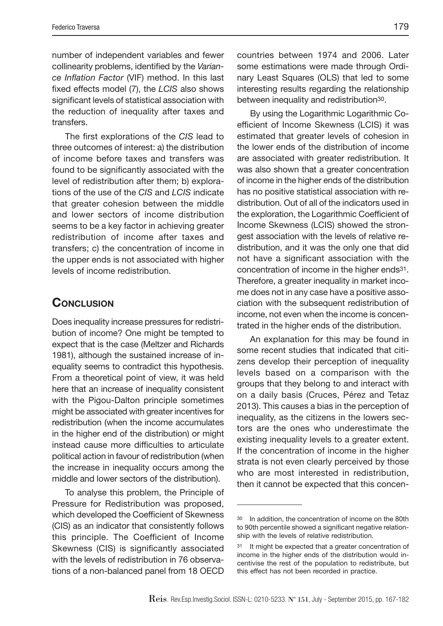number of independent variables and fewer collinearity problems, identified by the Variance Inflation Factor (VIF) method. In this last fixed effects model (7), the LCIS also shows significant levels of statistical association with the reduction of inequality after taxes and transfers.

The first explorations of the CIS lead to three outcomes of interest: a) the distribution of income before taxes and transfers was found to be significantly associated with the level of redistribution after them; b) explorations of the use of the CIS and LCIS indicate that greater cohesion between the middle and lower sectors of income distribution seems to be a key factor in achieving greater redistribution of income after taxes and transfers; c) the concentration of income in the upper ends is not associated with higher levels of income redistribution.

## **CONCLUSION**

Does inequality increase pressures for redistribution of income? One might be tempted to expect that is the case (Meltzer and Richards 1981), although the sustained increase of inequality seems to contradict this hypothesis. From a theoretical point of view, it was held here that an increase of inequality consistent with the Pigou-Dalton principle sometimes might be associated with greater incentives for redistribution (when the income accumulates in the higher end of the distribution) or might instead cause more difficulties to articulate political action in favour of redistribution (when the increase in inequality occurs among the middle and lower sectors of the distribution).

To analyse this problem, the Principle of Pressure for Redistribution was proposed, which developed the Coefficient of Skewness (CIS) as an indicator that consistently follows this principle. The Coefficient of Income Skewness (CIS) is significantly associated with the levels of redistribution in 76 observations of a non-balanced panel from 18 OECD

countries between 1974 and 2006. Later some estimations were made through Ordinary Least Squares (OLS) that led to some interesting results regarding the relationship between inequality and redistribution<sup>30</sup>.

By using the Logarithmic Logarithmic Coefficient of Income Skewness (LCIS) it was estimated that greater levels of cohesion in the lower ends of the distribution of income are associated with greater redistribution. It was also shown that a greater concentration of income in the higher ends of the distribution has no positive statistical association with redistribution. Out of all of the indicators used in the exploration, the Logarithmic Coefficient of Income Skewness (LCIS) showed the strongest association with the levels of relative redistribution, and it was the only one that did not have a significant association with the concentration of income in the higher ends31. Therefore, a greater inequality in market income does not in any case have a positive association with the subsequent redistribution of income, not even when the income is concentrated in the higher ends of the distribution.

An explanation for this may be found in some recent studies that indicated that citizens develop their perception of inequality levels based on a comparison with the groups that they belong to and interact with on a daily basis (Cruces, Pérez and Tetaz 2013). This causes a bias in the perception of inequality, as the citizens in the lowers sectors are the ones who underestimate the existing inequality levels to a greater extent. If the concentration of income in the higher strata is not even clearly perceived by those who are most interested in redistribution, then it cannot be expected that this concen-

<sup>30</sup> In addition, the concentration of income on the 80th to 90th percentile showed a significant negative relationship with the levels of relative redistribution.

<sup>31</sup> It might be expected that a greater concentration of income in the higher ends of the distribution would incentivise the rest of the population to redistribute, but this effect has not been recorded in practice.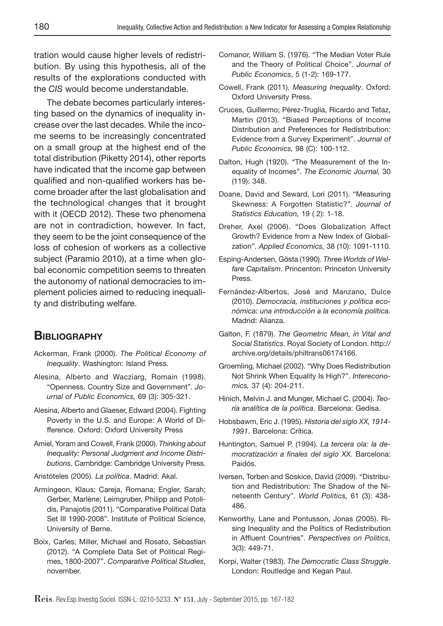tration would cause higher levels of redistribution. By using this hypothesis, all of the results of the explorations conducted with the CIS would become understandable.

The debate becomes particularly interesting based on the dynamics of inequality increase over the last decades. While the income seems to be increasingly concentrated on a small group at the highest end of the total distribution (Piketty 2014), other reports have indicated that the income gap between qualified and non-qualified workers has become broader after the last globalisation and the technological changes that it brought with it (OECD 2012). These two phenomena are not in contradiction, however. In fact, they seem to be the joint consequence of the loss of cohesion of workers as a collective subject (Paramio 2010), at a time when global economic competition seems to threaten the autonomy of national democracies to implement policies aimed to reducing inequality and distributing welfare.

## **BIBLIOGRAPHY**

- Ackerman, Frank (2000). The Political Economy of Inequality. Washington: Island Press.
- Alesina, Alberto and Wacziarg, Romain (1998). "Openness, Country Size and Government". Journal of Public Economics, 69 (3): 305-321.
- Alesina, Alberto and Glaeser, Edward (2004). Fighting Poverty in the U.S. and Europe: A World of Difference. Oxford: Oxford University Press
- Amiel, Yoram and Cowell, Frank (2000). Thinking about Inequality: Personal Judgment and Income Distributions. Cambridge: Cambridge University Press.
- Aristóteles (2005). La política. Madrid: Akal.
- Armingeon, Klaus; Careja, Romana; Engler, Sarah; Gerber, Marlène; Leimgruber, Philipp and Potolidis, Panajotis (2011). "Comparative Political Data Set III 1990-2008". Institute of Political Science, University of Berne.
- Boix, Carles; Miller, Michael and Rosato, Sebastian (2012). "A Complete Data Set of Political Regimes, 1800-2007". Comparative Political Studies, november.
- Comanor, William S. (1976). "The Median Voter Rule and the Theory of Political Choice". Journal of Public Economics, 5 (1-2): 169-177.
- Cowell, Frank (2011). Measuring Inequality. Oxford: Oxford University Press.
- Cruces, Guillermo; Pérez-Truglia, Ricardo and Tetaz, Martin (2013). "Biased Perceptions of Income Distribution and Preferences for Redistribution: Evidence from a Survey Experiment". Journal of Public Economics, 98 (C): 100-112.
- Dalton, Hugh (1920). "The Measurement of the Inequality of Incomes". The Economic Journal, 30 (119): 348.
- Doane, David and Seward, Lori (2011). "Measuring Skewness: A Forgotten Statistic?". Journal of Statistics Education, 19 (2): 1-18.
- Dreher, Axel (2006). "Does Globalization Affect Growth? Evidence from a New Index of Globalization". Applied Economics, 38 (10): 1091-1110.
- Esping-Andersen, Gösta (1990). Three Worlds of Welfare Capitalism. Princenton: Princeton University Press.
- Fernández-Albertos, José and Manzano, Dulce (2010). Democracia, instituciones y política económica: una introducción a la economía política. Madrid: Alianza.
- Galton, F. (1879). The Geometric Mean, in Vital and Social Statistics. Royal Society of London. http:// archive.org/details/philtrans06174166.
- Groemling, Michael (2002). "Why Does Redistribution Not Shrink When Equality Is High?". Intereconomics, 37 (4): 204-211.
- Hinich, Melvin J. and Munger, Michael C. (2004). Teoría analítica de la política. Barcelona: Gedisa.
- Hobsbawm, Eric J. (1995). Historia del siglo XX, 1914- 1991. Barcelona: Crítica.
- Huntington, Samuel P. (1994). La tercera ola: la democratización a finales del siglo XX. Barcelona: Paidós.
- Iversen, Torben and Soskice, David (2009). "Distribution and Redistribution: The Shadow of the Nineteenth Century". World Politics, 61 (3): 438- 486.
- Kenworthy, Lane and Pontusson, Jonas (2005). Rising Inequality and the Politics of Redistribution in Affluent Countries". Perspectives on Politics, 3(3): 449-71.
- Korpi, Walter (1983). The Democratic Class Struggle. London: Routledge and Kegan Paul.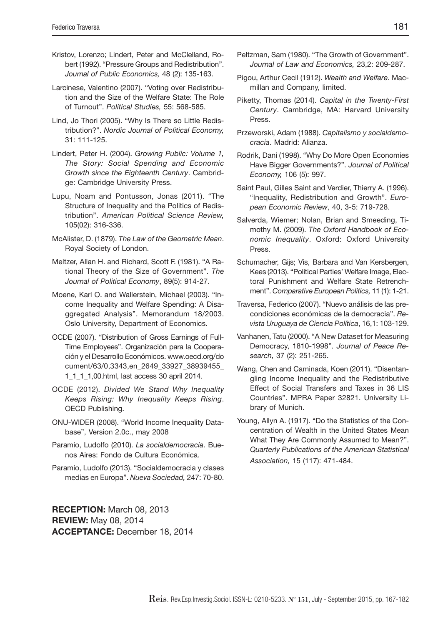- Kristov, Lorenzo; Lindert, Peter and McClelland, Robert (1992). "Pressure Groups and Redistribution". Journal of Public Economics, 48 (2): 135-163.
- Larcinese, Valentino (2007). "Voting over Redistribution and the Size of the Welfare State: The Role of Turnout". Political Studies, 55: 568-585.
- Lind, Jo Thori (2005). "Why Is There so Little Redistribution?". Nordic Journal of Political Economy, 31: 111-125.
- Lindert, Peter H. (2004). Growing Public: Volume 1, The Story: Social Spending and Economic Growth since the Eighteenth Century. Cambridge: Cambridge University Press.
- Lupu, Noam and Pontusson, Jonas (2011). "The Structure of Inequality and the Politics of Redistribution". American Political Science Review, 105(02): 316-336.
- McAlister, D. (1879). The Law of the Geometric Mean. Royal Society of London.
- Meltzer, Allan H. and Richard, Scott F. (1981). "A Rational Theory of the Size of Government". The Journal of Political Economy, 89(5): 914-27.
- Moene, Karl O. and Wallerstein, Michael (2003). "Income Inequality and Welfare Spending: A Disaggregated Analysis". Memorandum 18/2003. Oslo University, Department of Economics.
- OCDE (2007). "Distribution of Gross Earnings of Full-Time Employees". Organización para la Cooperación y el Desarrollo Económicos. www.oecd.org/do cument/63/0,3343,en\_2649\_33927\_38939455\_ 1\_1\_1\_1,00.html, last access 30 april 2014.
- OCDE (2012). Divided We Stand Why Inequality Keeps Rising: Why Inequality Keeps Rising. OECD Publishing.
- ONU-WIDER (2008). "World Income Inequality Database", Version 2.0c., may 2008
- Paramio, Ludolfo (2010). La socialdemocracia. Buenos Aires: Fondo de Cultura Económica.
- Paramio, Ludolfo (2013). "Socialdemocracia y clases medias en Europa". Nueva Sociedad, 247: 70-80.

**RECEPTION:** March 08, 2013 **REVIEW:** May 08, 2014 **ACCEPTANCE:** December 18, 2014

- Peltzman, Sam (1980). "The Growth of Government". Journal of Law and Economics, 23,2: 209-287.
- Pigou, Arthur Cecil (1912). Wealth and Welfare. Macmillan and Company, limited.
- Piketty, Thomas (2014). Capital in the Twenty-First Century. Cambridge, MA: Harvard University Press.
- Przeworski, Adam (1988). Capitalismo y socialdemocracia. Madrid: Alianza.
- Rodrik, Dani (1998). "Why Do More Open Economies Have Bigger Governments?". Journal of Political Economy, 106 (5): 997.
- Saint Paul, Gilles Saint and Verdier, Thierry A. (1996). "Inequality, Redistribution and Growth". European Economic Review, 40, 3-5: 719-728.
- Salverda, Wiemer; Nolan, Brian and Smeeding, Timothy M. (2009). The Oxford Handbook of Economic Inequality. Oxford: Oxford University **Proce**
- Schumacher, Gijs; Vis, Barbara and Van Kersbergen, Kees (2013). "Political Parties' Welfare Image, Electoral Punishment and Welfare State Retrenchment". Comparative European Politics, 11 (1): 1-21.
- Traversa, Federico (2007). "Nuevo análisis de las precondiciones económicas de la democracia". Revista Uruguaya de Ciencia Política, 16,1: 103-129.
- Vanhanen, Tatu (2000). "A New Dataset for Measuring Democracy, 1810-1998". Journal of Peace Research, 37 (2): 251-265.
- Wang, Chen and Caminada, Koen (2011). "Disentangling Income Inequality and the Redistributive Effect of Social Transfers and Taxes in 36 LIS Countries". MPRA Paper 32821. University Library of Munich.
- Young, Allyn A. (1917). "Do the Statistics of the Concentration of Wealth in the United States Mean What They Are Commonly Assumed to Mean?". Quarterly Publications of the American Statistical Association, 15 (117): 471-484.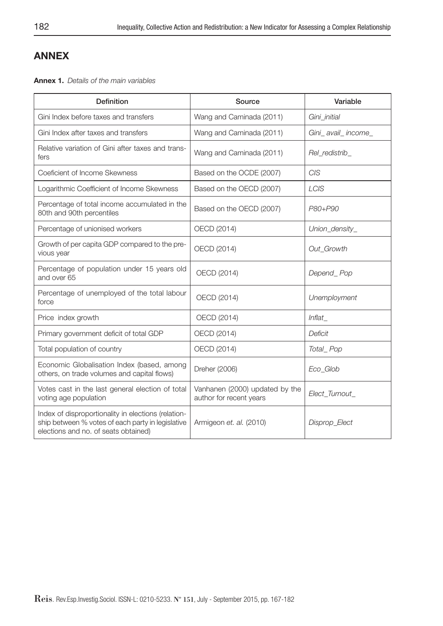# **ANNEX**

**Annex 1.** Details of the main variables

| <b>Definition</b>                                                                                                                                | Source                                                    | Variable           |
|--------------------------------------------------------------------------------------------------------------------------------------------------|-----------------------------------------------------------|--------------------|
| Gini Index before taxes and transfers                                                                                                            | Wang and Caminada (2011)                                  | Gini_initial       |
| Gini Index after taxes and transfers                                                                                                             | Wang and Caminada (2011)                                  | Gini_avail_income_ |
| Relative variation of Gini after taxes and trans-<br>fers                                                                                        | Wang and Caminada (2011)                                  | Rel redistrib      |
| Coeficient of Income Skewness                                                                                                                    | Based on the OCDE (2007)                                  | <b>CIS</b>         |
| Logarithmic Coefficient of Income Skewness                                                                                                       | Based on the OECD (2007)                                  | LCIS               |
| Percentage of total income accumulated in the<br>80th and 90th percentiles                                                                       | Based on the OECD (2007)                                  | P80+P90            |
| Percentage of unionised workers                                                                                                                  | OECD (2014)                                               | Union_density_     |
| Growth of per capita GDP compared to the pre-<br>vious year                                                                                      | OECD (2014)                                               | Out Growth         |
| Percentage of population under 15 years old<br>and over 65                                                                                       | OECD (2014)                                               | Depend_Pop         |
| Percentage of unemployed of the total labour<br>force                                                                                            | OECD (2014)                                               | Unemployment       |
| Price index growth                                                                                                                               | OECD (2014)                                               | Inflat             |
| Primary government deficit of total GDP                                                                                                          | OECD (2014)                                               | Deficit            |
| Total population of country                                                                                                                      | OECD (2014)                                               | Total_Pop          |
| Economic Globalisation Index (based, among<br>others, on trade volumes and capital flows)                                                        | Dreher (2006)                                             | Eco_Glob           |
| Votes cast in the last general election of total<br>voting age population                                                                        | Vanhanen (2000) updated by the<br>author for recent years | Elect Turnout      |
| Index of disproportionality in elections (relation-<br>ship between % votes of each party in legislative<br>elections and no. of seats obtained) | Armigeon et. al. (2010)                                   | Disprop_Elect      |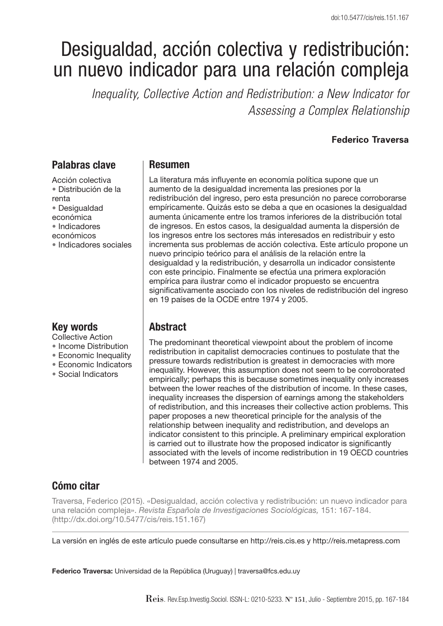# Desigualdad, acción colectiva y redistribución: un nuevo indicador para una relación compleja

*Inequality, Collective Action and Redistribution: a New Indicator for Assessing a Complex Relationship*

#### **Federico Traversa**

## **Palabras clave**

Acción colectiva • Distribución de la renta • Desigualdad económica • Indicadores económicos • Indicadores sociales

## **Key words**

Collective Action

- Income Distribution
- Economic Inequality
- Economic Indicators
- Social Indicators

#### **Resumen**

La literatura más influyente en economía política supone que un aumento de la desigualdad incrementa las presiones por la redistribución del ingreso, pero esta presunción no parece corroborarse empíricamente. Quizás esto se deba a que en ocasiones la desigualdad aumenta únicamente entre los tramos inferiores de la distribución total de ingresos. En estos casos, la desigualdad aumenta la dispersión de los ingresos entre los sectores más interesados en redistribuir y esto incrementa sus problemas de acción colectiva. Este artículo propone un nuevo principio teórico para el análisis de la relación entre la desigualdad y la redistribución, y desarrolla un indicador consistente con este principio. Finalmente se efectúa una primera exploración empírica para ilustrar como el indicador propuesto se encuentra significativamente asociado con los niveles de redistribución del ingreso en 19 países de la OCDE entre 1974 y 2005.

# **Abstract**

The predominant theoretical viewpoint about the problem of income redistribution in capitalist democracies continues to postulate that the pressure towards redistribution is greatest in democracies with more inequality. However, this assumption does not seem to be corroborated empirically; perhaps this is because sometimes inequality only increases between the lower reaches of the distribution of income. In these cases, inequality increases the dispersion of earnings among the stakeholders of redistribution, and this increases their collective action problems. This paper proposes a new theoretical principle for the analysis of the relationship between inequality and redistribution, and develops an indicator consistent to this principle. A preliminary empirical exploration is carried out to illustrate how the proposed indicator is significantly associated with the levels of income redistribution in 19 OECD countries between 1974 and 2005.

# **Cómo citar**

Traversa, Federico (2015). «Desigualdad, acción colectiva y redistribución: un nuevo indicador para una relación compleja». Revista Española de Investigaciones Sociológicas, 151: 167-184. (http://dx.doi.org/10.5477/cis/reis.151.167)

La versión en inglés de este artículo puede consultarse en http://reis.cis.es y http://reis.metapress.com

**Federico Traversa:** Universidad de la República (Uruguay) | traversa@fcs.edu.uy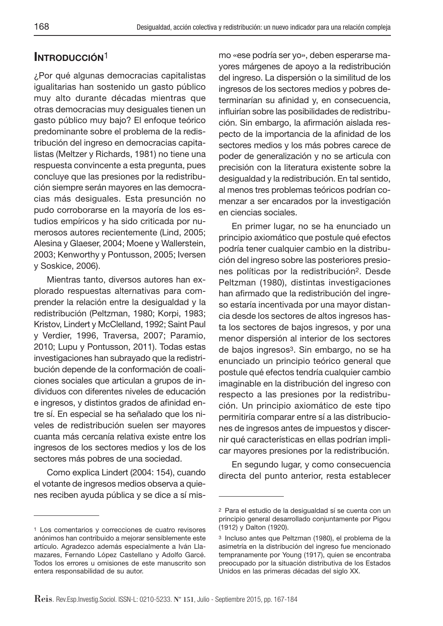# **INTRODUCCIÓN**1

¿Por qué algunas democracias capitalistas igualitarias han sostenido un gasto público muy alto durante décadas mientras que otras democracias muy desiguales tienen un gasto público muy bajo? El enfoque teórico predominante sobre el problema de la redistribución del ingreso en democracias capitalistas (Meltzer y Richards, 1981) no tiene una respuesta convincente a esta pregunta, pues concluye que las presiones por la redistribución siempre serán mayores en las democracias más desiguales. Esta presunción no pudo corroborarse en la mayoría de los estudios empíricos y ha sido criticada por numerosos autores recientemente (Lind, 2005; Alesina y Glaeser, 2004; Moene y Wallerstein, 2003; Kenworthy y Pontusson, 2005; Iversen y Soskice, 2006).

Mientras tanto, diversos autores han explorado respuestas alternativas para comprender la relación entre la desigualdad y la redistribución (Peltzman, 1980; Korpi, 1983; Kristov, Lindert y McClelland, 1992; Saint Paul y Verdier, 1996, Traversa, 2007; Paramio, 2010; Lupu y Pontusson, 2011). Todas estas investigaciones han subrayado que la redistribución depende de la conformación de coaliciones sociales que articulan a grupos de individuos con diferentes niveles de educación e ingresos, y distintos grados de afinidad entre sí. En especial se ha señalado que los niveles de redistribución suelen ser mayores cuanta más cercanía relativa existe entre los ingresos de los sectores medios y los de los sectores más pobres de una sociedad.

Como explica Lindert (2004: 154), cuando el votante de ingresos medios observa a quienes reciben ayuda pública y se dice a sí mismo «ese podría ser yo», deben esperarse mayores márgenes de apoyo a la redistribución del ingreso. La dispersión o la similitud de los ingresos de los sectores medios y pobres determinarían su afinidad y, en consecuencia, influirían sobre las posibilidades de redistribución. Sin embargo, la afirmación aislada respecto de la importancia de la afinidad de los sectores medios y los más pobres carece de poder de generalización y no se articula con precisión con la literatura existente sobre la desigualdad y la redistribución. En tal sentido, al menos tres problemas teóricos podrían comenzar a ser encarados por la investigación en ciencias sociales.

En primer lugar, no se ha enunciado un principio axiomático que postule qué efectos podría tener cualquier cambio en la distribución del ingreso sobre las posteriores presiones políticas por la redistribución2. Desde Peltzman (1980), distintas investigaciones han afirmado que la redistribución del ingreso estaría incentivada por una mayor distancia desde los sectores de altos ingresos hasta los sectores de bajos ingresos, y por una menor dispersión al interior de los sectores de bajos ingresos3. Sin embargo, no se ha enunciado un principio teórico general que postule qué efectos tendría cualquier cambio imaginable en la distribución del ingreso con respecto a las presiones por la redistribución. Un principio axiomático de este tipo permitiría comparar entre sí a las distribuciones de ingresos antes de impuestos y discernir qué características en ellas podrían implicar mayores presiones por la redistribución.

En segundo lugar, y como consecuencia directa del punto anterior, resta establecer

<sup>1</sup> Los comentarios y correcciones de cuatro revisores anónimos han contribuido a mejorar sensiblemente este artículo. Agradezco además especialmente a Iván Llamazares, Fernando López Castellano y Adolfo Garcé. Todos los errores u omisiones de este manuscrito son entera responsabilidad de su autor.

<sup>2</sup> Para el estudio de la desigualdad sí se cuenta con un principio general desarrollado conjuntamente por Pigou (1912) y Dalton (1920).

<sup>3</sup> Incluso antes que Peltzman (1980), el problema de la asimetría en la distribución del ingreso fue mencionado tempranamente por Young (1917), quien se encontraba preocupado por la situación distributiva de los Estados Unidos en las primeras décadas del siglo XX.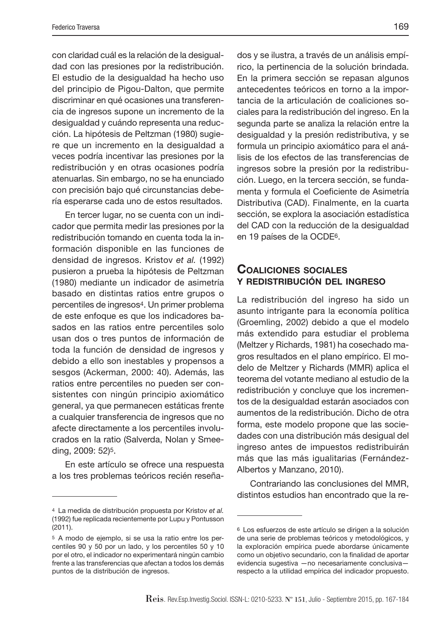con claridad cuál es la relación de la desigualdad con las presiones por la redistribución. El estudio de la desigualdad ha hecho uso del principio de Pigou-Dalton, que permite discriminar en qué ocasiones una transferencia de ingresos supone un incremento de la desigualdad y cuándo representa una reducción. La hipótesis de Peltzman (1980) sugiere que un incremento en la desigualdad a veces podría incentivar las presiones por la redistribución y en otras ocasiones podría atenuarlas. Sin embargo, no se ha enunciado con precisión bajo qué circunstancias debería esperarse cada uno de estos resultados.

En tercer lugar, no se cuenta con un indicador que permita medir las presiones por la redistribución tomando en cuenta toda la información disponible en las funciones de densidad de ingresos. Kristov et al. (1992) pusieron a prueba la hipótesis de Peltzman (1980) mediante un indicador de asimetría basado en distintas ratios entre grupos o percentiles de ingresos4. Un primer problema de este enfoque es que los indicadores basados en las ratios entre percentiles solo usan dos o tres puntos de información de toda la función de densidad de ingresos y debido a ello son inestables y propensos a sesgos (Ackerman, 2000: 40). Además, las ratios entre percentiles no pueden ser consistentes con ningún principio axiomático general, ya que permanecen estáticas frente a cualquier transferencia de ingresos que no afecte directamente a los percentiles involucrados en la ratio (Salverda, Nolan y Smeeding, 2009: 52)5.

En este artículo se ofrece una respuesta a los tres problemas teóricos recién reseñados y se ilustra, a través de un análisis empírico, la pertinencia de la solución brindada. En la primera sección se repasan algunos antecedentes teóricos en torno a la importancia de la articulación de coaliciones sociales para la redistribución del ingreso. En la segunda parte se analiza la relación entre la desigualdad y la presión redistributiva, y se formula un principio axiomático para el análisis de los efectos de las transferencias de ingresos sobre la presión por la redistribución. Luego, en la tercera sección, se fundamenta y formula el Coeficiente de Asimetría Distributiva (CAD). Finalmente, en la cuarta sección, se explora la asociación estadística del CAD con la reducción de la desigualdad en 19 países de la OCDE6.

#### **COALICIONES SOCIALES Y REDISTRIBUCIÓN DEL INGRESO**

La redistribución del ingreso ha sido un asunto intrigante para la economía política (Groemling, 2002) debido a que el modelo más extendido para estudiar el problema (Meltzer y Richards, 1981) ha cosechado magros resultados en el plano empírico. El modelo de Meltzer y Richards (MMR) aplica el teorema del votante mediano al estudio de la redistribución y concluye que los incrementos de la desigualdad estarán asociados con aumentos de la redistribución. Dicho de otra forma, este modelo propone que las sociedades con una distribución más desigual del ingreso antes de impuestos redistribuirán más que las más igualitarias (Fernández-Albertos y Manzano, 2010).

Contrariando las conclusiones del MMR, distintos estudios han encontrado que la re-

<sup>4</sup> La medida de distribución propuesta por Kristov et al. (1992) fue replicada recientemente por Lupu y Pontusson (2011).

<sup>5</sup> A modo de ejemplo, si se usa la ratio entre los percentiles 90 y 50 por un lado, y los percentiles 50 y 10 por el otro, el indicador no experimentará ningún cambio frente a las transferencias que afectan a todos los demás puntos de la distribución de ingresos.

<sup>6</sup> Los esfuerzos de este artículo se dirigen a la solución de una serie de problemas teóricos y metodológicos, y la exploración empírica puede abordarse únicamente como un objetivo secundario, con la finalidad de aportar evidencia sugestiva —no necesariamente conclusiva respecto a la utilidad empírica del indicador propuesto.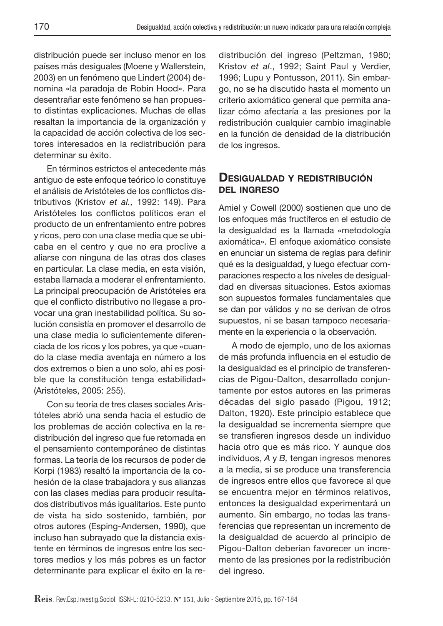distribución puede ser incluso menor en los países más desiguales (Moene y Wallerstein, 2003) en un fenómeno que Lindert (2004) denomina «la paradoja de Robin Hood». Para desentrañar este fenómeno se han propuesto distintas explicaciones. Muchas de ellas resaltan la importancia de la organización y la capacidad de acción colectiva de los sectores interesados en la redistribución para determinar su éxito.

En términos estrictos el antecedente más antiguo de este enfoque teórico lo constituye el análisis de Aristóteles de los conflictos distributivos (Kristov et al., 1992: 149). Para Aristóteles los conflictos políticos eran el producto de un enfrentamiento entre pobres y ricos, pero con una clase media que se ubicaba en el centro y que no era proclive a aliarse con ninguna de las otras dos clases en particular. La clase media, en esta visión, estaba llamada a moderar el enfrentamiento. La principal preocupación de Aristóteles era que el conflicto distributivo no llegase a provocar una gran inestabilidad política. Su solución consistía en promover el desarrollo de una clase media lo suficientemente diferenciada de los ricos y los pobres, ya que «cuando la clase media aventaja en número a los dos extremos o bien a uno solo, ahí es posible que la constitución tenga estabilidad» (Aristóteles, 2005: 255).

Con su teoría de tres clases sociales Aristóteles abrió una senda hacia el estudio de los problemas de acción colectiva en la redistribución del ingreso que fue retomada en el pensamiento contemporáneo de distintas formas. La teoría de los recursos de poder de Korpi (1983) resaltó la importancia de la cohesión de la clase trabajadora y sus alianzas con las clases medias para producir resultados distributivos más igualitarios. Este punto de vista ha sido sostenido, también, por otros autores (Esping-Andersen, 1990), que incluso han subrayado que la distancia existente en términos de ingresos entre los sectores medios y los más pobres es un factor determinante para explicar el éxito en la redistribución del ingreso (Peltzman, 1980; Kristov et al., 1992; Saint Paul y Verdier, 1996; Lupu y Pontusson, 2011). Sin embargo, no se ha discutido hasta el momento un criterio axiomático general que permita analizar cómo afectaría a las presiones por la redistribución cualquier cambio imaginable en la función de densidad de la distribución de los ingresos.

## **DESIGUALDAD <sup>Y</sup> REDISTRIBUCIÓN DEL INGRESO**

Amiel y Cowell (2000) sostienen que uno de los enfoques más fructíferos en el estudio de la desigualdad es la llamada «metodología axiomática». El enfoque axiomático consiste en enunciar un sistema de reglas para definir qué es la desigualdad, y luego efectuar comparaciones respecto a los niveles de desigualdad en diversas situaciones. Estos axiomas son supuestos formales fundamentales que se dan por válidos y no se derivan de otros supuestos, ni se basan tampoco necesariamente en la experiencia o la observación.

A modo de ejemplo, uno de los axiomas de más profunda influencia en el estudio de la desigualdad es el principio de transferencias de Pigou-Dalton, desarrollado conjuntamente por estos autores en las primeras décadas del siglo pasado (Pigou, 1912; Dalton, 1920). Este principio establece que la desigualdad se incrementa siempre que se transfieren ingresos desde un individuo hacia otro que es más rico. Y aunque dos individuos, A y B, tengan ingresos menores a la media, si se produce una transferencia de ingresos entre ellos que favorece al que se encuentra mejor en términos relativos, entonces la desigualdad experimentará un aumento. Sin embargo, no todas las transferencias que representan un incremento de la desigualdad de acuerdo al principio de Pigou-Dalton deberían favorecer un incremento de las presiones por la redistribución del ingreso.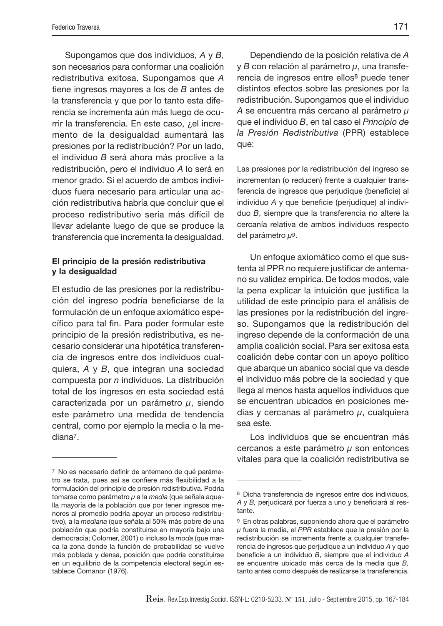Supongamos que dos individuos, A y B, son necesarios para conformar una coalición redistributiva exitosa. Supongamos que A tiene ingresos mayores a los de B antes de la transferencia y que por lo tanto esta diferencia se incrementa aún más luego de ocurrir la transferencia. En este caso, ¿el incremento de la desigualdad aumentará las presiones por la redistribución? Por un lado, el individuo B será ahora más proclive a la redistribución, pero el individuo A lo será en menor grado. Si el acuerdo de ambos individuos fuera necesario para articular una acción redistributiva habría que concluir que el proceso redistributivo sería más difícil de llevar adelante luego de que se produce la transferencia que incrementa la desigualdad.

#### **El principio de la presión redistributiva y la desigualdad**

El estudio de las presiones por la redistribución del ingreso podría beneficiarse de la formulación de un enfoque axiomático específico para tal fin. Para poder formular este principio de la presión redistributiva, es necesario considerar una hipotética transferencia de ingresos entre dos individuos cualquiera, A y B, que integran una sociedad compuesta por n individuos. La distribución total de los ingresos en esta sociedad está caracterizada por un parámetro  $\mu$ , siendo este parámetro una medida de tendencia central, como por ejemplo la media o la mediana7.

Dependiendo de la posición relativa de A y  $B$  con relación al parámetro  $μ$ , una transferencia de ingresos entre ellos8 puede tener distintos efectos sobre las presiones por la redistribución. Supongamos que el individuo A se encuentra más cercano al parámetro μ que el individuo B, en tal caso el Principio de la Presión Redistributiva (PPR) establece que:

Las presiones por la redistribución del ingreso se incrementan (o reducen) frente a cualquier transferencia de ingresos que perjudique (beneficie) al individuo  $A$  y que beneficie (perjudique) al individuo B, siempre que la transferencia no altere la cercanía relativa de ambos individuos respecto del parámetro  $μ<sup>9</sup>$ .

Un enfoque axiomático como el que sustenta al PPR no requiere justificar de antemano su validez empírica. De todos modos, vale la pena explicar la intuición que justifica la utilidad de este principio para el análisis de las presiones por la redistribución del ingreso. Supongamos que la redistribución del ingreso depende de la conformación de una amplia coalición social. Para ser exitosa esta coalición debe contar con un apoyo político que abarque un abanico social que va desde el individuo más pobre de la sociedad y que llega al menos hasta aquellos individuos que se encuentran ubicados en posiciones medias y cercanas al parámetro  $\mu$ , cualquiera sea este.

Los individuos que se encuentran más cercanos a este parámetro  $\mu$  son entonces vitales para que la coalición redistributiva se

<sup>&</sup>lt;sup>7</sup> No es necesario definir de antemano de qué parámetro se trata, pues así se confiere más flexibilidad a la formulación del principio de presión redistributiva. Podría tomarse como parámetro  $\mu$  a la media (que señala aquella mayoría de la población que por tener ingresos menores al promedio podría apoyar un proceso redistributivo), a la mediana (que señala al 50% más pobre de una población que podría constituirse en mayoría bajo una democracia; Colomer, 2001) o incluso la moda (que marca la zona donde la función de probabilidad se vuelve más poblada y densa, posición que podría constituirse en un equilibrio de la competencia electoral según establece Comanor (1976).

<sup>8</sup> Dicha transferencia de ingresos entre dos individuos,  $A \vee B$ , perjudicará por fuerza a uno y beneficiará al restante.

<sup>9</sup> En otras palabras, suponiendo ahora que el parámetro μ fuera la media, el PPR establece que la presión por la redistribución se incrementa frente a cualquier transferencia de ingresos que perjudique a un individuo A y que beneficie a un individuo B, siempre que el individuo A se encuentre ubicado más cerca de la media que B, tanto antes como después de realizarse la transferencia.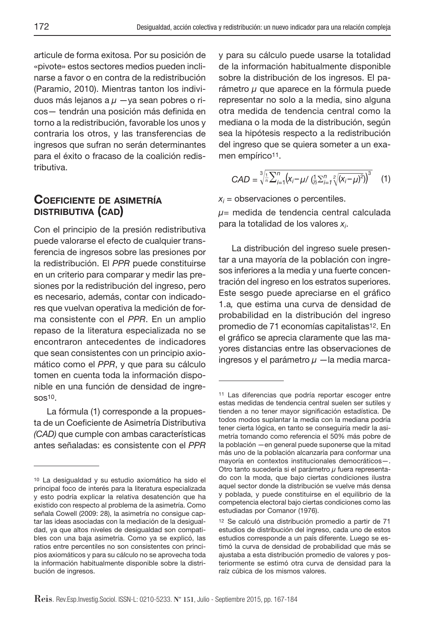articule de forma exitosa. Por su posición de «pivote» estos sectores medios pueden inclinarse a favor o en contra de la redistribución (Paramio, 2010). Mientras tanton los individuos más lejanos a  $\mu$  -ya sean pobres o ricos - tendrán una posición más definida en torno a la redistribución, favorable los unos y contraria los otros, y las transferencias de ingresos que sufran no serán determinantes para el éxito o fracaso de la coalición redistributiva.

### **COEFICIENTE DE ASIMETRÍA DISTRIBUTIVA (CAD)**

Con el principio de la presión redistributiva puede valorarse el efecto de cualquier transferencia de ingresos sobre las presiones por la redistribución. El PPR puede constituirse en un criterio para comparar y medir las presiones por la redistribución del ingreso, pero es necesario, además, contar con indicadores que vuelvan operativa la medición de forma consistente con el PPR. En un amplio repaso de la literatura especializada no se encontraron antecedentes de indicadores que sean consistentes con un principio axiomático como el PPR, y que para su cálculo tomen en cuenta toda la información disponible en una función de densidad de ingre- $SOS<sup>10</sup>$ .

La fórmula (1) corresponde a la propuesta de un Coeficiente de Asimetría Distributiva (CAD) que cumple con ambas características antes señaladas: es consistente con el PPR y para su cálculo puede usarse la totalidad de la información habitualmente disponible sobre la distribución de los ingresos. El parámetro μ que aparece en la fórmula puede representar no solo a la media, sino alguna otra medida de tendencia central como la mediana o la moda de la distribución, según sea la hipótesis respecto a la redistribución del ingreso que se quiera someter a un examen empírico<sup>11</sup>.

$$
CAD = \sqrt[3]{\frac{1}{n} \sum_{i=1}^{n} (x_i - \mu / (\frac{1}{n} \sum_{i=1}^{n} \sqrt[2]{(x_i - \mu)^2}))^3}
$$
 (1)

 $x_i$  = observaciones o percentiles.

 $\mu$ = medida de tendencia central calculada para la totalidad de los valores  $x_i$ .

La distribución del ingreso suele presentar a una mayoría de la población con ingresos inferiores a la media y una fuerte concentración del ingreso en los estratos superiores. Este sesgo puede apreciarse en el gráfico 1.a, que estima una curva de densidad de probabilidad en la distribución del ingreso promedio de 71 economías capitalistas12. En el gráfico se aprecia claramente que las mayores distancias entre las observaciones de ingresos y el parámetro  $\mu$  - la media marca-

<sup>10</sup> La desigualdad y su estudio axiomático ha sido el principal foco de interés para la literatura especializada y esto podría explicar la relativa desatención que ha existido con respecto al problema de la asimetría. Como señala Cowell (2009: 28), la asimetría no consigue captar las ideas asociadas con la mediación de la desigualdad, ya que altos niveles de desigualdad son compatibles con una baja asimetría. Como ya se explicó, las ratios entre percentiles no son consistentes con principios axiomáticos y para su cálculo no se aprovecha toda la información habitualmente disponible sobre la distribución de ingresos.

<sup>11</sup> Las diferencias que podría reportar escoger entre estas medidas de tendencia central suelen ser sutiles y tienden a no tener mayor significación estadística. De todos modos suplantar la media con la mediana podría tener cierta lógica, en tanto se conseguiría medir la asimetría tomando como referencia el 50% más pobre de la población —en general puede suponerse que la mitad más uno de la población alcanzaría para conformar una mayoría en contextos institucionales democráticos—. Otro tanto sucedería si el parámetro μ fuera representado con la moda, que bajo ciertas condiciones ilustra aquel sector donde la distribución se vuelve más densa y poblada, y puede constituirse en el equilibrio de la competencia electoral bajo ciertas condiciones como las estudiadas por Comanor (1976).

<sup>12</sup> Se calculó una distribución promedio a partir de 71 estudios de distribución del ingreso, cada uno de estos estudios corresponde a un país diferente. Luego se estimó la curva de densidad de probabilidad que más se ajustaba a esta distribución promedio de valores y posteriormente se estimó otra curva de densidad para la raíz cúbica de los mismos valores.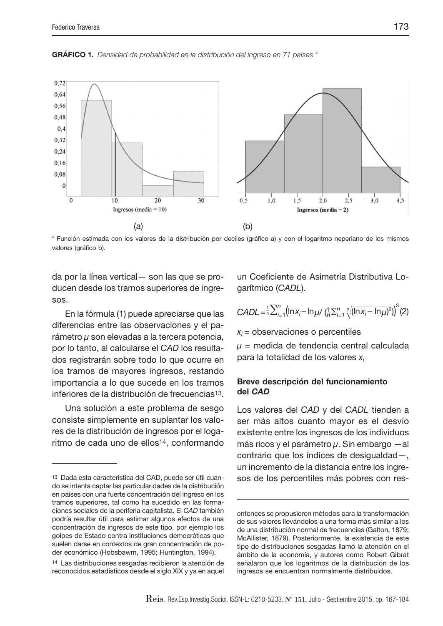**GRÁFICO 1.** Densidad de probabilidad en la distribución del ingreso en 71 países \*



\* Función estimada con los valores de la distribución por deciles (gráfi co a) y con el logaritmo neperiano de los mismos valores (gráfico b).

da por la línea vertical— son las que se producen desde los tramos superiores de ingresos.

En la fórmula (1) puede apreciarse que las diferencias entre las observaciones y el parámetro  $\mu$  son elevadas a la tercera potencia, por lo tanto, al calcularse el CAD los resultados registrarán sobre todo lo que ocurre en los tramos de mayores ingresos, restando importancia a lo que sucede en los tramos inferiores de la distribución de frecuencias13.

Una solución a este problema de sesgo consiste simplemente en suplantar los valores de la distribución de ingresos por el logaritmo de cada uno de ellos<sup>14</sup>, conformando

un Coeficiente de Asimetría Distributiva Logarítmico (CADL).

$$
CADL = \frac{1}{n} \sum_{i=1}^{n} (\ln x_i - \ln \mu / (\frac{1}{n} \sum_{i=1}^{n} \sqrt{(n x_i - \ln \mu)^2})^3 (2)
$$

 $x_i$  = observaciones o percentiles

 $\mu$  = medida de tendencia central calculada para la totalidad de los valores  $x_i$ 

#### **Breve descripción del funcionamiento del** *CAD*

Los valores del CAD y del CADL tienden a ser más altos cuanto mayor es el desvío existente entre los ingresos de los individuos más ricos y el parámetro  $\mu$ . Sin embargo —al contrario que los índices de desigualdad—, un incremento de la distancia entre los ingresos de los percentiles más pobres con res-

<sup>13</sup> Dada esta característica del CAD, puede ser útil cuando se intenta captar las particularidades de la distribución en países con una fuerte concentración del ingreso en los tramos superiores, tal como ha sucedido en las formaciones sociales de la periferia capitalista. El CAD también podría resultar útil para estimar algunos efectos de una concentración de ingresos de este tipo, por ejemplo los golpes de Estado contra instituciones democráticas que suelen darse en contextos de gran concentración de poder económico (Hobsbawm, 1995; Huntington, 1994).

<sup>14</sup> Las distribuciones sesgadas recibieron la atención de reconocidos estadísticos desde el siglo XIX y ya en aquel

entonces se propusieron métodos para la transformación de sus valores llevándolos a una forma más similar a los de una distribución normal de frecuencias (Galton, 1879; McAllister, 1879). Posteriormente, la existencia de este tipo de distribuciones sesgadas llamó la atención en el ámbito de la economía, y autores como Robert Gibrat señalaron que los logaritmos de la distribución de los ingresos se encuentran normalmente distribuidos.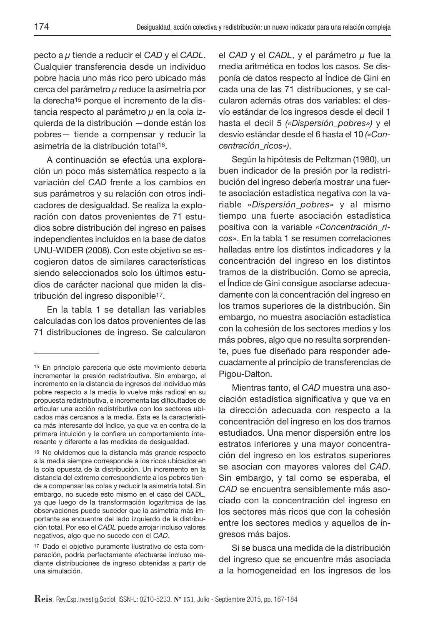pecto a  $\mu$  tiende a reducir el CAD y el CADL. Cualquier transferencia desde un individuo pobre hacia uno más rico pero ubicado más cerca del parámetro μ reduce la asimetría por la derecha<sup>15</sup> porque el incremento de la distancia respecto al parámetro  $\mu$  en la cola izquierda de la distribución —donde están los pobres— tiende a compensar y reducir la asimetría de la distribución total16.

A continuación se efectúa una exploración un poco más sistemática respecto a la variación del CAD frente a los cambios en sus parámetros y su relación con otros indicadores de desigualdad. Se realiza la exploración con datos provenientes de 71 estudios sobre distribución del ingreso en países independientes incluidos en la base de datos UNU-WIDER (2008). Con este objetivo se escogieron datos de similares características siendo seleccionados solo los últimos estudios de carácter nacional que miden la distribución del ingreso disponible17.

En la tabla 1 se detallan las variables calculadas con los datos provenientes de las 71 distribuciones de ingreso. Se calcularon el CAD y el CADL, y el parámetro  $\mu$  fue la media aritmética en todos los casos. Se disponía de datos respecto al Índice de Gini en cada una de las 71 distribuciones, y se calcularon además otras dos variables: el desvío estándar de los ingresos desde el decil 1 hasta el decil 5 («Dispersión\_pobres») y el desvío estándar desde el 6 hasta el 10 («Concentración\_ricos»).

Según la hipótesis de Peltzman (1980), un buen indicador de la presión por la redistribución del ingreso debería mostrar una fuerte asociación estadística negativa con la variable «Dispersión\_pobres» y al mismo tiempo una fuerte asociación estadística positiva con la variable «Concentración\_ricos». En la tabla 1 se resumen correlaciones halladas entre los distintos indicadores y la concentración del ingreso en los distintos tramos de la distribución. Como se aprecia, el Índice de Gini consigue asociarse adecuadamente con la concentración del ingreso en los tramos superiores de la distribución. Sin embargo, no muestra asociación estadística con la cohesión de los sectores medios y los más pobres, algo que no resulta sorprendente, pues fue diseñado para responder adecuadamente al principio de transferencias de Pigou-Dalton.

Mientras tanto, el CAD muestra una asociación estadística significativa y que va en la dirección adecuada con respecto a la concentración del ingreso en los dos tramos estudiados. Una menor dispersión entre los estratos inferiores y una mayor concentración del ingreso en los estratos superiores se asocian con mayores valores del CAD. Sin embargo, y tal como se esperaba, el CAD se encuentra sensiblemente más asociado con la concentración del ingreso en los sectores más ricos que con la cohesión entre los sectores medios y aquellos de ingresos más bajos.

Si se busca una medida de la distribución del ingreso que se encuentre más asociada a la homogeneidad en los ingresos de los

<sup>15</sup> En principio parecería que este movimiento debería incrementar la presión redistributiva. Sin embargo, el incremento en la distancia de ingresos del individuo más pobre respecto a la media lo vuelve más radical en su propuesta redistributiva, e incrementa las dificultades de articular una acción redistributiva con los sectores ubicados más cercanos a la media. Esta es la característica más interesante del índice, ya que va en contra de la primera intuición y le confiere un comportamiento interesante y diferente a las medidas de desigualdad.

<sup>16</sup> No olvidemos que la distancia más grande respecto a la media siempre corresponde a los ricos ubicados en la cola opuesta de la distribución. Un incremento en la distancia del extremo correspondiente a los pobres tiende a compensar las colas y reducir la asimetría total. Sin embargo, no sucede esto mismo en el caso del CADL, ya que luego de la transformación logarítmica de las observaciones puede suceder que la asimetría más importante se encuentre del lado izquierdo de la distribución total. Por eso el CADL puede arrojar incluso valores negativos, algo que no sucede con el CAD.

<sup>17</sup> Dado el objetivo puramente ilustrativo de esta comparación, podría perfectamente efectuarse incluso mediante distribuciones de ingreso obtenidas a partir de una simulación.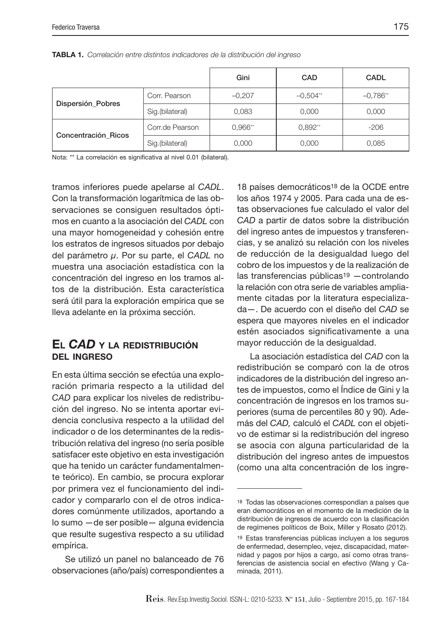|                     |                 | Gini      | CAD        | <b>CADL</b> |
|---------------------|-----------------|-----------|------------|-------------|
| Dispersión_Pobres   | Corr. Pearson   | $-0,207$  | $-0.504**$ | $-0.786**$  |
|                     | Sig.(bilateral) | 0,083     | 0,000      | 0,000       |
|                     | Corr.de Pearson | $0.966**$ | $0,892**$  | $-206$      |
| Concentración Ricos | Sig.(bilateral) | 0,000     | 0,000      | 0,085       |

**TABLA 1.** Correlación entre distintos indicadores de la distribución del ingreso

Nota: \*\* La correlación es significativa al nivel 0.01 (bilateral).

tramos inferiores puede apelarse al CADL. Con la transformación logarítmica de las observaciones se consiguen resultados óptimos en cuanto a la asociación del CADL con una mayor homogeneidad y cohesión entre los estratos de ingresos situados por debajo del parámetro μ. Por su parte, el CADL no muestra una asociación estadística con la concentración del ingreso en los tramos altos de la distribución. Esta característica será útil para la exploración empírica que se lleva adelante en la próxima sección.

### **EL** *CAD* **<sup>Y</sup> LA REDISTRIBUCIÓN DEL INGRESO**

En esta última sección se efectúa una exploración primaria respecto a la utilidad del CAD para explicar los niveles de redistribución del ingreso. No se intenta aportar evidencia conclusiva respecto a la utilidad del indicador o de los determinantes de la redistribución relativa del ingreso (no sería posible satisfacer este objetivo en esta investigación que ha tenido un carácter fundamentalmente teórico). En cambio, se procura explorar por primera vez el funcionamiento del indicador y compararlo con el de otros indicadores comúnmente utilizados, aportando a lo sumo —de ser posible— alguna evidencia que resulte sugestiva respecto a su utilidad empírica.

Se utilizó un panel no balanceado de 76 observaciones (año/país) correspondientes a

18 países democráticos18 de la OCDE entre los años 1974 y 2005. Para cada una de estas observaciones fue calculado el valor del CAD a partir de datos sobre la distribución del ingreso antes de impuestos y transferencias, y se analizó su relación con los niveles de reducción de la desigualdad luego del cobro de los impuestos y de la realización de las transferencias públicas19 —controlando la relación con otra serie de variables ampliamente citadas por la literatura especializada—. De acuerdo con el diseño del CAD se espera que mayores niveles en el indicador estén asociados significativamente a una mayor reducción de la desigualdad.

La asociación estadística del CAD con la redistribución se comparó con la de otros indicadores de la distribución del ingreso antes de impuestos, como el Índice de Gini y la concentración de ingresos en los tramos superiores (suma de percentiles 80 y 90). Además del CAD, calculó el CADL con el objetivo de estimar si la redistribución del ingreso se asocia con alguna particularidad de la distribución del ingreso antes de impuestos (como una alta concentración de los ingre-

<sup>18</sup> Todas las observaciones correspondían a países que eran democráticos en el momento de la medición de la distribución de ingresos de acuerdo con la clasificación de regímenes políticos de Boix, Miller y Rosato (2012).

<sup>19</sup> Estas transferencias públicas incluyen a los seguros de enfermedad, desempleo, vejez, discapacidad, maternidad y pagos por hijos a cargo, así como otras transferencias de asistencia social en efectivo (Wang y Caminada, 2011).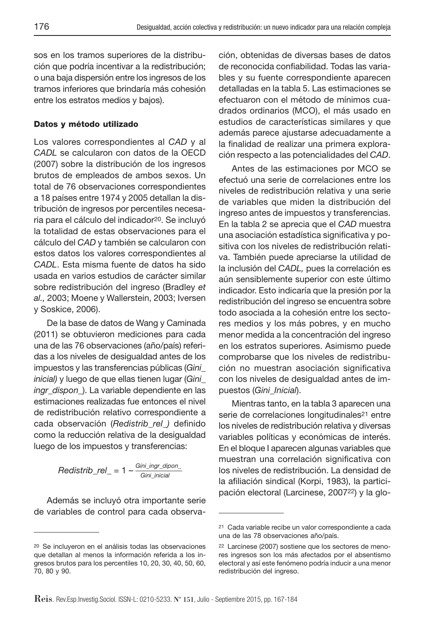sos en los tramos superiores de la distribución que podría incentivar a la redistribución; o una baja dispersión entre los ingresos de los tramos inferiores que brindaría más cohesión entre los estratos medios y bajos).

#### **Datos y método utilizado**

Los valores correspondientes al CAD y al CADL se calcularon con datos de la OECD (2007) sobre la distribución de los ingresos brutos de empleados de ambos sexos. Un total de 76 observaciones correspondientes a 18 países entre 1974 y 2005 detallan la distribución de ingresos por percentiles necesaria para el cálculo del indicador20. Se incluyó la totalidad de estas observaciones para el cálculo del CAD y también se calcularon con estos datos los valores correspondientes al CADL. Esta misma fuente de datos ha sido usada en varios estudios de carácter similar sobre redistribución del ingreso (Bradley et al., 2003; Moene y Wallerstein, 2003; Iversen y Soskice, 2006).

De la base de datos de Wang y Caminada (2011) se obtuvieron mediciones para cada una de las 76 observaciones (año/país) referidas a los niveles de desigualdad antes de los impuestos y las transferencias públicas (Gini\_ inicial) y luego de que ellas tienen lugar (Gini\_ ingr\_dispon\_). La variable dependiente en las estimaciones realizadas fue entonces el nivel de redistribución relativo correspondiente a cada observación (Redistrib\_rel\_) definido como la reducción relativa de la desigualdad luego de los impuestos y transferencias:

$$
Redistrib\_rel_- = 1 - \frac{Gini\_ingr\_dipon_-}{Gini\_inicial}
$$

Además se incluyó otra importante serie de variables de control para cada observación, obtenidas de diversas bases de datos de reconocida confiabilidad. Todas las variables y su fuente correspondiente aparecen detalladas en la tabla 5. Las estimaciones se efectuaron con el método de mínimos cuadrados ordinarios (MCO), el más usado en estudios de características similares y que además parece ajustarse adecuadamente a la finalidad de realizar una primera exploración respecto a las potencialidades del CAD.

Antes de las estimaciones por MCO se efectuó una serie de correlaciones entre los niveles de redistribución relativa y una serie de variables que miden la distribución del ingreso antes de impuestos y transferencias. En la tabla 2 se aprecia que el CAD muestra una asociación estadística significativa y positiva con los niveles de redistribución relativa. También puede apreciarse la utilidad de la inclusión del CADL, pues la correlación es aún sensiblemente superior con este último indicador. Esto indicaría que la presión por la redistribución del ingreso se encuentra sobre todo asociada a la cohesión entre los sectores medios y los más pobres, y en mucho menor medida a la concentración del ingreso en los estratos superiores. Asimismo puede comprobarse que los niveles de redistribución no muestran asociación significativa con los niveles de desigualdad antes de impuestos (Gini\_Inicial).

Mientras tanto, en la tabla 3 aparecen una serie de correlaciones longitudinales<sup>21</sup> entre los niveles de redistribución relativa y diversas variables políticas y económicas de interés. En el bloque I aparecen algunas variables que muestran una correlación significativa con los niveles de redistribución. La densidad de la afiliación sindical (Korpi, 1983), la participación electoral (Larcinese, 200722) y la glo-

<sup>20</sup> Se incluyeron en el análisis todas las observaciones que detallan al menos la información referida a los ingresos brutos para los percentiles 10, 20, 30, 40, 50, 60, 70, 80 y 90.

<sup>21</sup> Cada variable recibe un valor correspondiente a cada una de las 78 observaciones año/país.

<sup>22</sup> Larcinese (2007) sostiene que los sectores de menores ingresos son los más afectados por el absentismo electoral y así este fenómeno podría inducir a una menor redistribución del ingreso.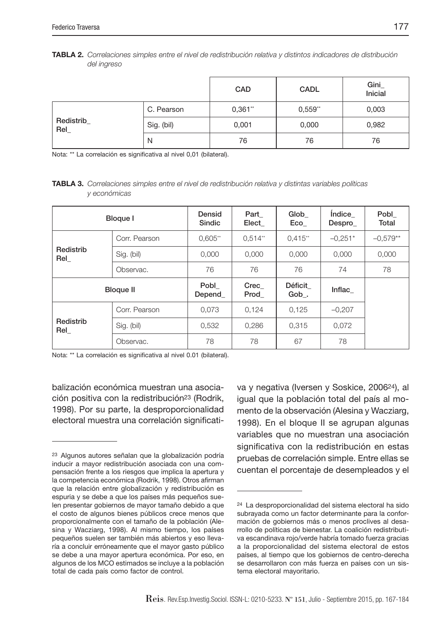| TABLA 2. Correlaciones simples entre el nivel de redistribución relativa y distintos indicadores de distribución |  |  |
|------------------------------------------------------------------------------------------------------------------|--|--|
| del ingreso                                                                                                      |  |  |

|                  |            | CAD    | <b>CADL</b> | Gini<br>Inicial |
|------------------|------------|--------|-------------|-----------------|
| Redistrib<br>Rel | C. Pearson | 0,361" | 0,559"      | 0,003           |
|                  | Sig. (bil) | 0,001  | 0,000       | 0,982           |
|                  | N          | 76     | 76          | 76              |

Nota: \*\* La correlación es significativa al nivel 0,01 (bilateral).

**TABLA 3.** Correlaciones simples entre el nivel de redistribución relativa y distintas variables políticas y económicas

| <b>Bloque I</b>  |               | Densid<br><b>Sindic</b> | Part<br>Elect | Glob<br>Eco     | Índice<br>Despro | Pobl<br>Total |
|------------------|---------------|-------------------------|---------------|-----------------|------------------|---------------|
|                  | Corr. Pearson | $0.605**$               | $0.514**$     | $0.415**$       | $-0.251*$        | $-0.579**$    |
| Redistrib<br>Rel | Sig. (bil)    | 0.000                   | 0.000         | 0.000           | 0.000            | 0,000         |
|                  | Observac.     | 76                      | 76            | 76              | 74               | 78            |
| <b>Bloque II</b> |               | Pobl<br>Depend          | Crec<br>Prod  | Déficit<br>Gob. | Inflac           |               |
|                  | Corr. Pearson | 0.073                   | 0.124         | 0,125           | $-0.207$         |               |
| Redistrib<br>ReI | Sig. (bil)    | 0.532                   | 0.286         | 0.315           | 0.072            |               |
|                  | Observac.     | 78                      | 78            | 67              | 78               |               |

Nota: \*\* La correlación es significativa al nivel 0.01 (bilateral).

balización económica muestran una asociación positiva con la redistribución23 (Rodrik, 1998). Por su parte, la desproporcionalidad electoral muestra una correlación significativa y negativa (Iversen y Soskice, 200624), al igual que la población total del país al momento de la observación (Alesina y Wacziarg, 1998). En el bloque II se agrupan algunas variables que no muestran una asociación significativa con la redistribución en estas pruebas de correlación simple. Entre ellas se cuentan el porcentaje de desempleados y el

<sup>23</sup> Algunos autores señalan que la globalización podría inducir a mayor redistribución asociada con una compensación frente a los riesgos que implica la apertura y la competencia económica (Rodrik, 1998). Otros afirman que la relación entre globalización y redistribución es espuria y se debe a que los países más pequeños suelen presentar gobiernos de mayor tamaño debido a que el costo de algunos bienes públicos crece menos que proporcionalmente con el tamaño de la población (Alesina y Wacziarg, 1998). Al mismo tiempo, los países pequeños suelen ser también más abiertos y eso llevaría a concluir erróneamente que el mayor gasto público se debe a una mayor apertura económica. Por eso, en algunos de los MCO estimados se incluye a la población total de cada país como factor de control.

<sup>24</sup> La desproporcionalidad del sistema electoral ha sido subrayada como un factor determinante para la conformación de gobiernos más o menos proclives al desarrollo de políticas de bienestar. La coalición redistributiva escandinava rojo/verde habría tomado fuerza gracias a la proporcionalidad del sistema electoral de estos países, al tiempo que los gobiernos de centro-derecha se desarrollaron con más fuerza en países con un sistema electoral mayoritario.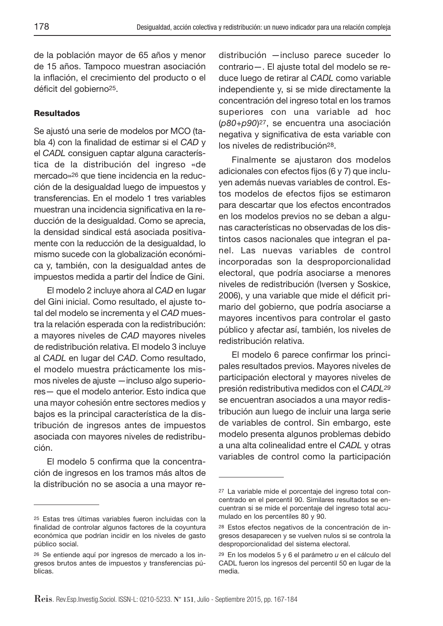de la población mayor de 65 años y menor de 15 años. Tampoco muestran asociación la inflación, el crecimiento del producto o el déficit del gobierno<sup>25</sup>.

#### **Resultados**

Se ajustó una serie de modelos por MCO (tabla 4) con la finalidad de estimar si el CAD y el CADL consiguen captar alguna característica de la distribución del ingreso «de mercado»26 que tiene incidencia en la reducción de la desigualdad luego de impuestos y transferencias. En el modelo 1 tres variables muestran una incidencia significativa en la reducción de la desigualdad. Como se aprecia, la densidad sindical está asociada positivamente con la reducción de la desigualdad, lo mismo sucede con la globalización económica y, también, con la desigualdad antes de impuestos medida a partir del Índice de Gini.

El modelo 2 incluye ahora al CAD en lugar del Gini inicial. Como resultado, el ajuste total del modelo se incrementa y el CAD muestra la relación esperada con la redistribución: a mayores niveles de CAD mayores niveles de redistribución relativa. El modelo 3 incluye al CADL en lugar del CAD. Como resultado, el modelo muestra prácticamente los mismos niveles de ajuste —incluso algo superiores— que el modelo anterior. Esto indica que una mayor cohesión entre sectores medios y bajos es la principal característica de la distribución de ingresos antes de impuestos asociada con mayores niveles de redistribución.

El modelo 5 confirma que la concentración de ingresos en los tramos más altos de la distribución no se asocia a una mayor redistribución —incluso parece suceder lo contrario—. El ajuste total del modelo se reduce luego de retirar al CADL como variable independiente y, si se mide directamente la concentración del ingreso total en los tramos superiores con una variable ad hoc (p80+p90)27, se encuentra una asociación negativa y significativa de esta variable con los niveles de redistribución28.

Finalmente se ajustaron dos modelos adicionales con efectos fijos (6 y 7) que incluyen además nuevas variables de control. Estos modelos de efectos fijos se estimaron para descartar que los efectos encontrados en los modelos previos no se deban a algunas características no observadas de los distintos casos nacionales que integran el panel. Las nuevas variables de control incorporadas son la desproporcionalidad electoral, que podría asociarse a menores niveles de redistribución (Iversen y Soskice, 2006), y una variable que mide el déficit primario del gobierno, que podría asociarse a mayores incentivos para controlar el gasto público y afectar así, también, los niveles de redistribución relativa.

El modelo 6 parece confirmar los principales resultados previos. Mayores niveles de participación electoral y mayores niveles de presión redistributiva medidos con el CADL29 se encuentran asociados a una mayor redistribución aun luego de incluir una larga serie de variables de control. Sin embargo, este modelo presenta algunos problemas debido a una alta colinealidad entre el CADL y otras variables de control como la participación

<sup>25</sup> Estas tres últimas variables fueron incluidas con la finalidad de controlar algunos factores de la coyuntura económica que podrían incidir en los niveles de gasto público social.

<sup>26</sup> Se entiende aquí por ingresos de mercado a los ingresos brutos antes de impuestos y transferencias públicas.

<sup>27</sup> La variable mide el porcentaje del ingreso total concentrado en el percentil 90. Similares resultados se encuentran si se mide el porcentaje del ingreso total acumulado en los percentiles 80 y 90.

<sup>28</sup> Estos efectos negativos de la concentración de ingresos desaparecen y se vuelven nulos si se controla la desproporcionalidad del sistema electoral.

 $29$  En los modelos 5 y 6 el parámetro  $u$  en el cálculo del CADL fueron los ingresos del percentil 50 en lugar de la media.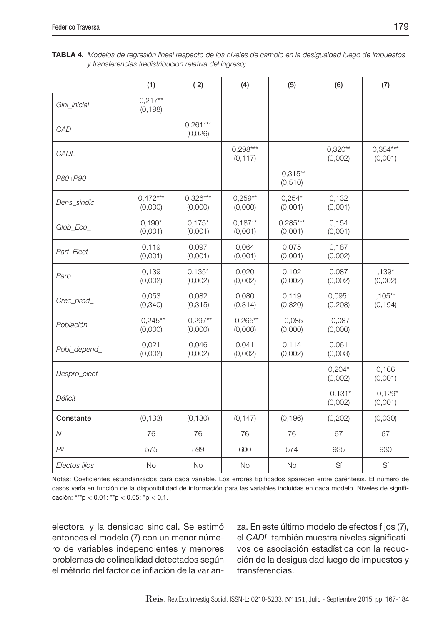| <b>TABLA 4.</b> Modelos de regresión lineal respecto de los niveles de cambio en la desigualdad luego de impuestos |  |  |
|--------------------------------------------------------------------------------------------------------------------|--|--|
| y transferencias (redistribución relativa del ingreso)                                                             |  |  |

|               | (1)                   | (2)                   | (4)                    | (5)                    | (6)                  | (7)                   |
|---------------|-----------------------|-----------------------|------------------------|------------------------|----------------------|-----------------------|
| Gini_inicial  | $0.217**$<br>(0, 198) |                       |                        |                        |                      |                       |
| CAD           |                       | $0,261***$<br>(0,026) |                        |                        |                      |                       |
| CADL          |                       |                       | $0,298***$<br>(0, 117) |                        | $0,320**$<br>(0,002) | $0,354***$<br>(0,001) |
| P80+P90       |                       |                       |                        | $-0.315**$<br>(0, 510) |                      |                       |
| Dens sindic   | $0,472***$<br>(0,000) | $0,326***$<br>(0,000) | $0.259**$<br>(0,000)   | $0,254*$<br>(0,001)    | 0,132<br>(0,001)     |                       |
| Glob_Eco_     | $0.190*$<br>(0,001)   | $0.175*$<br>(0,001)   | $0.187**$<br>(0,001)   | $0.285***$<br>(0,001)  | 0,154<br>(0,001)     |                       |
| Part Elect    | 0,119<br>(0,001)      | 0,097<br>(0,001)      | 0,064<br>(0,001)       | 0,075<br>(0,001)       | 0,187<br>(0,002)     |                       |
| Paro          | 0,139<br>(0,002)      | $0,135*$<br>(0,002)   | 0,020<br>(0,002)       | 0,102<br>(0,002)       | 0,087<br>(0,002)     | $,139*$<br>(0,002)    |
| Crec_prod_    | 0.053<br>(0, 340)     | 0.082<br>(0, 315)     | 0.080<br>(0, 314)      | 0.119<br>(0,320)       | $0.095*$<br>(0, 208) | $.105***$<br>(0, 194) |
| Población     | $-0,245**$<br>(0,000) | $-0,297**$<br>(0,000) | $-0.265**$<br>(0,000)  | $-0,085$<br>(0,000)    | $-0,087$<br>(0,000)  |                       |
| Pobl_depend_  | 0,021<br>(0,002)      | 0,046<br>(0,002)      | 0,041<br>(0,002)       | 0,114<br>(0,002)       | 0,061<br>(0,003)     |                       |
| Despro_elect  |                       |                       |                        |                        | $0.204*$<br>(0,002)  | 0.166<br>(0,001)      |
| Déficit       |                       |                       |                        |                        | $-0,131*$<br>(0,002) | $-0.129*$<br>(0,001)  |
| Constante     | (0, 133)              | (0, 130)              | (0, 147)               | (0, 196)               | (0, 202)             | (0,030)               |
| $\mathcal N$  | 76                    | 76                    | 76                     | 76                     | 67                   | 67                    |
| $R^2$         | 575                   | 599                   | 600                    | 574                    | 935                  | 930                   |
| Efectos fijos | <b>No</b>             | <b>No</b>             | <b>No</b>              | <b>No</b>              | Sí                   | Sí                    |

Notas: Coeficientes estandarizados para cada variable. Los errores tipificados aparecen entre paréntesis. El número de casos varía en función de la disponibilidad de información para las variables incluidas en cada modelo. Niveles de signifi cación: \*\*\*p < 0,01; \*\*p < 0,05; \*p < 0,1.

electoral y la densidad sindical. Se estimó entonces el modelo (7) con un menor número de variables independientes y menores problemas de colinealidad detectados según el método del factor de inflación de la varianza. En este último modelo de efectos fijos (7), el CADL también muestra niveles significativos de asociación estadística con la reducción de la desigualdad luego de impuestos y transferencias.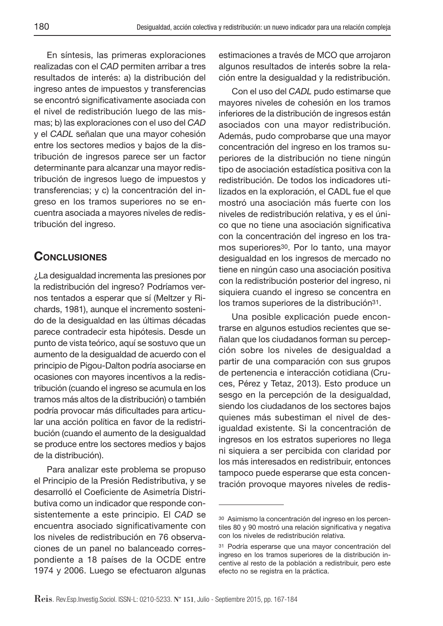En síntesis, las primeras exploraciones realizadas con el CAD permiten arribar a tres resultados de interés: a) la distribución del ingreso antes de impuestos y transferencias se encontró significativamente asociada con el nivel de redistribución luego de las mismas; b) las exploraciones con el uso del CAD y el CADL señalan que una mayor cohesión entre los sectores medios y bajos de la distribución de ingresos parece ser un factor determinante para alcanzar una mayor redistribución de ingresos luego de impuestos y transferencias; y c) la concentración del ingreso en los tramos superiores no se encuentra asociada a mayores niveles de redistribución del ingreso.

# **CONCLUSIONES**

¿La desigualdad incrementa las presiones por la redistribución del ingreso? Podríamos vernos tentados a esperar que sí (Meltzer y Richards, 1981), aunque el incremento sostenido de la desigualdad en las últimas décadas parece contradecir esta hipótesis. Desde un punto de vista teórico, aquí se sostuvo que un aumento de la desigualdad de acuerdo con el principio de Pigou-Dalton podría asociarse en ocasiones con mayores incentivos a la redistribución (cuando el ingreso se acumula en los tramos más altos de la distribución) o también podría provocar más dificultades para articular una acción política en favor de la redistribución (cuando el aumento de la desigualdad se produce entre los sectores medios y bajos de la distribución).

Para analizar este problema se propuso el Principio de la Presión Redistributiva, y se desarrolló el Coeficiente de Asimetría Distributiva como un indicador que responde consistentemente a este principio. El CAD se encuentra asociado significativamente con los niveles de redistribución en 76 observaciones de un panel no balanceado correspondiente a 18 países de la OCDE entre 1974 y 2006. Luego se efectuaron algunas

estimaciones a través de MCO que arrojaron algunos resultados de interés sobre la relación entre la desigualdad y la redistribución.

Con el uso del CADL pudo estimarse que mayores niveles de cohesión en los tramos inferiores de la distribución de ingresos están asociados con una mayor redistribución. Además, pudo comprobarse que una mayor concentración del ingreso en los tramos superiores de la distribución no tiene ningún tipo de asociación estadística positiva con la redistribución. De todos los indicadores utilizados en la exploración, el CADL fue el que mostró una asociación más fuerte con los niveles de redistribución relativa, y es el único que no tiene una asociación significativa con la concentración del ingreso en los tramos superiores30. Por lo tanto, una mayor desigualdad en los ingresos de mercado no tiene en ningún caso una asociación positiva con la redistribución posterior del ingreso, ni siquiera cuando el ingreso se concentra en los tramos superiores de la distribución31.

Una posible explicación puede encontrarse en algunos estudios recientes que señalan que los ciudadanos forman su percepción sobre los niveles de desigualdad a partir de una comparación con sus grupos de pertenencia e interacción cotidiana (Cruces, Pérez y Tetaz, 2013). Esto produce un sesgo en la percepción de la desigualdad, siendo los ciudadanos de los sectores bajos quienes más subestiman el nivel de desigualdad existente. Si la concentración de ingresos en los estratos superiores no llega ni siquiera a ser percibida con claridad por los más interesados en redistribuir, entonces tampoco puede esperarse que esta concentración provoque mayores niveles de redis-

<sup>30</sup> Asimismo la concentración del ingreso en los percentiles 80 y 90 mostró una relación significativa y negativa con los niveles de redistribución relativa.

<sup>31</sup> Podría esperarse que una mayor concentración del ingreso en los tramos superiores de la distribución incentive al resto de la población a redistribuir, pero este efecto no se registra en la práctica.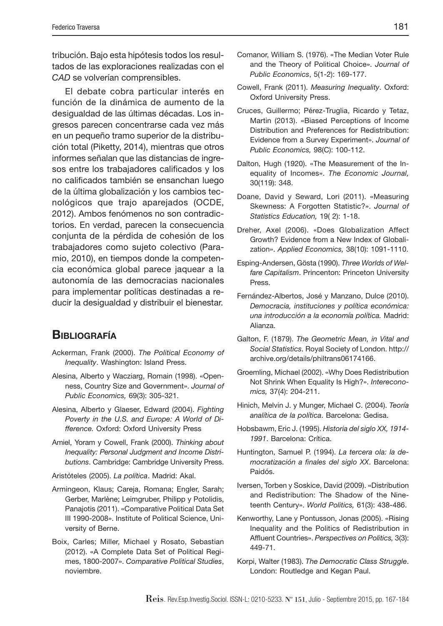tribución. Bajo esta hipótesis todos los resultados de las exploraciones realizadas con el CAD se volverían comprensibles.

El debate cobra particular interés en función de la dinámica de aumento de la desigualdad de las últimas décadas. Los ingresos parecen concentrarse cada vez más en un pequeño tramo superior de la distribución total (Piketty, 2014), mientras que otros informes señalan que las distancias de ingresos entre los trabajadores calificados y los no calificados también se ensanchan luego de la última globalización y los cambios tecnológicos que trajo aparejados (OCDE, 2012). Ambos fenómenos no son contradictorios. En verdad, parecen la consecuencia conjunta de la pérdida de cohesión de los trabajadores como sujeto colectivo (Paramio, 2010), en tiempos donde la competencia económica global parece jaquear a la autonomía de las democracias nacionales para implementar políticas destinadas a reducir la desigualdad y distribuir el bienestar.

#### **BIBLIOGRAFÍA**

- Ackerman, Frank (2000). The Political Economy of Inequality. Washington: Island Press.
- Alesina, Alberto y Wacziarg, Romain (1998). «Openness, Country Size and Government». Journal of Public Economics, 69(3): 305-321.
- Alesina, Alberto y Glaeser, Edward (2004). Fighting Poverty in the U.S. and Europe: A World of Difference. Oxford: Oxford University Press
- Amiel, Yoram y Cowell, Frank (2000). Thinking about Inequality: Personal Judgment and Income Distributions. Cambridge: Cambridge University Press.
- Aristóteles (2005). La política. Madrid: Akal.
- Armingeon, Klaus; Careja, Romana; Engler, Sarah; Gerber, Marlène; Leimgruber, Philipp y Potolidis, Panajotis (2011). «Comparative Political Data Set III 1990-2008». Institute of Political Science, University of Berne.
- Boix, Carles; Miller, Michael y Rosato, Sebastian (2012). «A Complete Data Set of Political Regimes, 1800-2007». Comparative Political Studies, noviembre.
- Comanor, William S. (1976). «The Median Voter Rule and the Theory of Political Choice». Journal of Public Economics, 5(1-2): 169-177.
- Cowell, Frank (2011). Measuring Inequality. Oxford: Oxford University Press.
- Cruces, Guillermo; Pérez-Truglia, Ricardo y Tetaz, Martin (2013). «Biased Perceptions of Income Distribution and Preferences for Redistribution: Evidence from a Survey Experiment». Journal of Public Economics, 98(C): 100-112.
- Dalton, Hugh (1920). «The Measurement of the Inequality of Incomes». The Economic Journal, 30(119): 348.
- Doane, David y Seward, Lori (2011). «Measuring Skewness: A Forgotten Statistic?». Journal of Statistics Education, 19( 2): 1-18.
- Dreher, Axel (2006). «Does Globalization Affect Growth? Evidence from a New Index of Globalization». Applied Economics, 38(10): 1091-1110.
- Esping-Andersen, Gösta (1990). Three Worlds of Welfare Capitalism. Princenton: Princeton University Press.
- Fernández-Albertos, José y Manzano, Dulce (2010). Democracia, instituciones y política económica: una introducción a la economía política. Madrid: Alianza.
- Galton, F. (1879). The Geometric Mean, in Vital and Social Statistics. Royal Society of London. http:// archive.org/details/philtrans06174166.
- Groemling, Michael (2002). «Why Does Redistribution Not Shrink When Equality Is High?». Intereconomics, 37(4): 204-211.
- Hinich, Melvin J. y Munger, Michael C. (2004). Teoría analítica de la política. Barcelona: Gedisa.
- Hobsbawm, Eric J. (1995). Historia del siglo XX, 1914- 1991. Barcelona: Crítica.
- Huntington, Samuel P. (1994). La tercera ola: la democratización a finales del siglo XX. Barcelona: Paidós.
- Iversen, Torben y Soskice, David (2009). «Distribution and Redistribution: The Shadow of the Nineteenth Century». World Politics, 61(3): 438-486.
- Kenworthy, Lane y Pontusson, Jonas (2005). «Rising Inequality and the Politics of Redistribution in Affluent Countries». Perspectives on Politics, 3(3): 449-71.
- Korpi, Walter (1983). The Democratic Class Struggle. London: Routledge and Kegan Paul.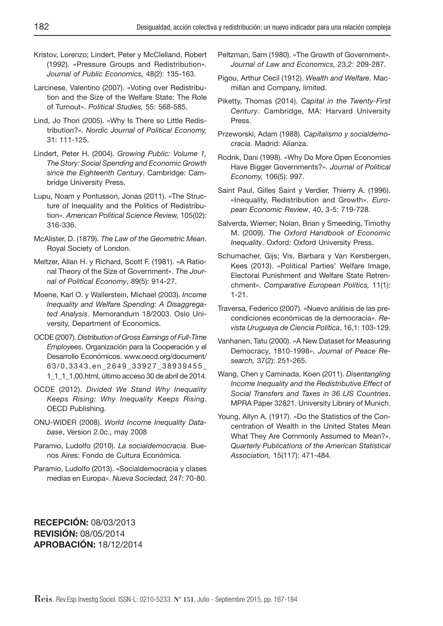- Kristov, Lorenzo; Lindert, Peter y McClelland, Robert (1992). «Pressure Groups and Redistribution». Journal of Public Economics, 48(2): 135-163.
- Larcinese, Valentino (2007). «Voting over Redistribution and the Size of the Welfare State: The Role of Turnout». Political Studies, 55: 568-585.
- Lind, Jo Thori (2005). «Why Is There so Little Redistribution?». Nordic Journal of Political Economy, 31: 111-125.
- Lindert, Peter H. (2004). Growing Public: Volume 1, The Story: Social Spending and Economic Growth since the Eighteenth Century. Cambridge: Cambridge University Press.
- Lupu, Noam y Pontusson, Jonas (2011). «The Structure of Inequality and the Politics of Redistribution». American Political Science Review, 105(02): 316-336.
- McAlister, D. (1879). The Law of the Geometric Mean. Royal Society of London.
- Meltzer, Allan H. y Richard, Scott F. (1981). «A Rational Theory of the Size of Government». The Journal of Political Economy, 89(5): 914-27.
- Moene, Karl O. y Wallerstein, Michael (2003). Income Inequality and Welfare Spending: A Disaggregated Analysis. Memorandum 18/2003. Oslo University, Department of Economics.
- OCDE (2007). Distribution of Gross Earnings of Full-Time Employees. Organización para la Cooperación y el Desarrollo Económicos. www.oecd.org/document/ 63/0,3343,en\_2649\_33927\_38939455\_ 1\_1\_1\_1,00.html, último acceso 30 de abril de 2014.
- OCDE (2012). Divided We Stand Why Inequality Keeps Rising: Why Inequality Keeps Rising. OECD Publishing.
- ONU-WIDER (2008). World Income Inequality Database, Version 2.0c., may 2008
- Paramio, Ludolfo (2010). La socialdemocracia. Buenos Aires: Fondo de Cultura Económica.
- Paramio, Ludolfo (2013). «Socialdemocracia y clases medias en Europa». Nueva Sociedad, 247: 70-80.

Peltzman, Sam (1980). «The Growth of Government». Journal of Law and Economics, 23,2: 209-287.

- Pigou, Arthur Cecil (1912). Wealth and Welfare. Macmillan and Company, limited.
- Piketty, Thomas (2014). Capital in the Twenty-First Century. Cambridge, MA: Harvard University Press.
- Przeworski, Adam (1988). Capitalismo y socialdemocracia. Madrid: Alianza.
- Rodrik, Dani (1998). «Why Do More Open Economies Have Bigger Governments?». Journal of Political Economy, 106(5): 997.
- Saint Paul, Gilles Saint y Verdier, Thierry A. (1996). «Inequality, Redistribution and Growth». European Economic Review, 40, 3-5: 719-728.
- Salverda, Wiemer; Nolan, Brian y Smeeding, Timothy M. (2009). The Oxford Handbook of Economic Inequality. Oxford: Oxford University Press.
- Schumacher, Gijs; Vis, Barbara y Van Kersbergen, Kees (2013). «Political Parties' Welfare Image, Electoral Punishment and Welfare State Retrenchment». Comparative European Politics, 11(1): 1-21.
- Traversa, Federico (2007). «Nuevo análisis de las precondiciones económicas de la democracia». Revista Uruguaya de Ciencia Política, 16,1: 103-129.
- Vanhanen, Tatu (2000). «A New Dataset for Measuring Democracy, 1810-1998». Journal of Peace Research, 37(2): 251-265.
- Wang, Chen y Caminada, Koen (2011). Disentangling Income Inequality and the Redistributive Effect of Social Transfers and Taxes in 36 LIS Countries. MPRA Paper 32821. University Library of Munich.
- Young, Allyn A. (1917). «Do the Statistics of the Concentration of Wealth in the United States Mean What They Are Commonly Assumed to Mean?». Quarterly Publications of the American Statistical Association, 15(117): 471-484.

**RECEPCIÓN:** 08/03/2013 **REVISIÓN:** 08/05/2014 **APROBACIÓN:** 18/12/2014